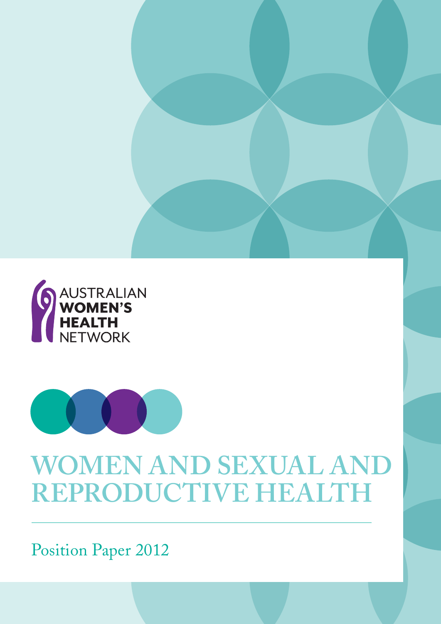



# **WOMEN AND SEXUAL AND REPRODUCTIVE HEALTH**

Position Paper 2012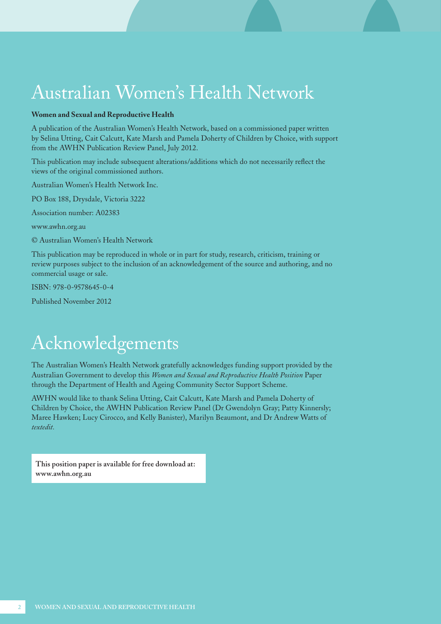## Australian Women's Health Network

#### **Women and Sexual and Reproductive Health**

A publication of the Australian Women's Health Network, based on a commissioned paper written by Selina Utting, Cait Calcutt, Kate Marsh and Pamela Doherty of Children by Choice, with support from the AWHN Publication Review Panel, July 2012.

This publication may include subsequent alterations/additions which do not necessarily reflect the views of the original commissioned authors.

Australian Women's Health Network Inc.

PO Box 188, Drysdale, Victoria 3222

Association number: A02383

[www.awhn.org.au](http://www.awhn.org.au)

© Australian Women's Health Network

This publication may be reproduced in whole or in part for study, research, criticism, training or review purposes subject to the inclusion of an acknowledgement of the source and authoring, and no commercial usage or sale.

ISBN: 978-0-9578645-0-4

Published November 2012

## Acknowledgements

The Australian Women's Health Network gratefully acknowledges funding support provided by the Australian Government to develop this *Women and Sexual and Reproductive Health Position* Paper through the Department of Health and Ageing Community Sector Support Scheme.

AWHN would like to thank Selina Utting, Cait Calcutt, Kate Marsh and Pamela Doherty of Children by Choice, the AWHN Publication Review Panel (Dr Gwendolyn Gray; Patty Kinnersly; Maree Hawken; Lucy Cirocco, and Kelly Banister), Marilyn Beaumont, and Dr Andrew Watts of *textedit.*

**This position paper is available for free download at: [www.awhn.org.au](http://www.awhn.org.au)**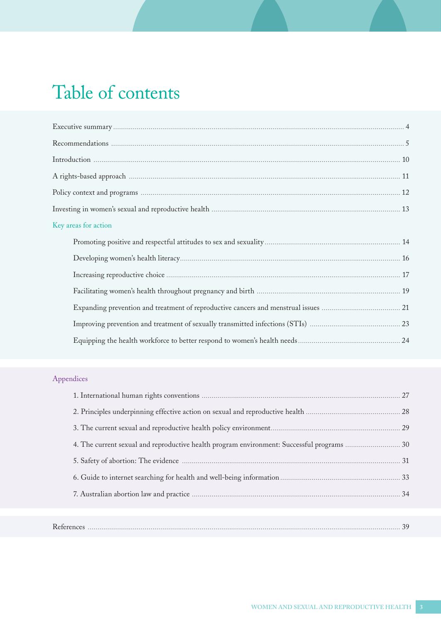## Table of contents

| Key areas for action |  |
|----------------------|--|

#### Appendices

| 4. The current sexual and reproductive health program environment: Successful programs  30 |  |
|--------------------------------------------------------------------------------------------|--|
|                                                                                            |  |
|                                                                                            |  |
|                                                                                            |  |
|                                                                                            |  |

| Reference. |  |
|------------|--|
|            |  |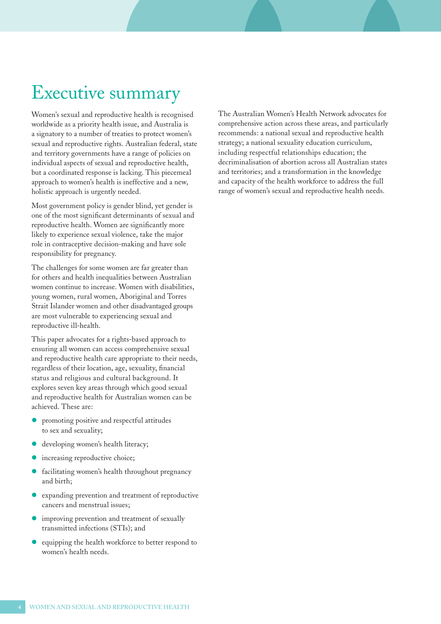## <span id="page-3-0"></span>Executive summary

Women's sexual and reproductive health is recognised worldwide as a priority health issue, and Australia is a signatory to a number of treaties to protect women's sexual and reproductive rights. Australian federal, state and territory governments have a range of policies on individual aspects of sexual and reproductive health, but a coordinated response is lacking. This piecemeal approach to women's health is ineffective and a new, holistic approach is urgently needed.

Most government policy is gender blind, yet gender is one of the most significant determinants of sexual and reproductive health. Women are significantly more likely to experience sexual violence, take the major role in contraceptive decision-making and have sole responsibility for pregnancy.

The challenges for some women are far greater than for others and health inequalities between Australian women continue to increase. Women with disabilities, young women, rural women, Aboriginal and Torres Strait Islander women and other disadvantaged groups are most vulnerable to experiencing sexual and reproductive ill-health.

This paper advocates for a rights-based approach to ensuring all women can access comprehensive sexual and reproductive health care appropriate to their needs, regardless of their location, age, sexuality, financial status and religious and cultural background. It explores seven key areas through which good sexual and reproductive health for Australian women can be achieved. These are:

- $\bullet$  promoting positive and respectful attitudes to sex and sexuality;
- developing women's health literacy;
- increasing reproductive choice;
- facilitating women's health throughout pregnancy and birth;
- expanding prevention and treatment of reproductive cancers and menstrual issues;
- improving prevention and treatment of sexually transmitted infections (STIs); and
- equipping the health workforce to better respond to women's health needs.

The Australian Women's Health Network advocates for comprehensive action across these areas, and particularly recommends: a national sexual and reproductive health strategy; a national sexuality education curriculum, including respectful relationships education; the decriminalisation of abortion across all Australian states and territories; and a transformation in the knowledge and capacity of the health workforce to address the full range of women's sexual and reproductive health needs.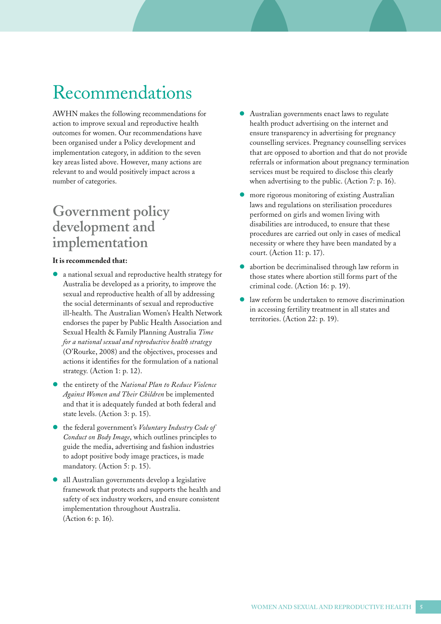## <span id="page-4-0"></span>Recommendations

AWHN makes the following recommendations for action to improve sexual and reproductive health outcomes for women. Our recommendations have been organised under a Policy development and implementation category, in addition to the seven key areas listed above. However, many actions are relevant to and would positively impact across a number of categories.

### **Government policy development and implementation**

- a national sexual and reproductive health strategy for Australia be developed as a priority, to improve the sexual and reproductive health of all by addressing the social determinants of sexual and reproductive ill-health. The Australian Women's Health Network endorses the paper by Public Health Association and Sexual Health & Family Planning Australia *Time for a national sexual and reproductive health strategy* (O'Rourke, 2008) and the objectives, processes and actions it identifies for the formulation of a national strategy. ([Action 1: p. 12\)](#page-11-0).
- the entirety of the *National Plan to Reduce Violence Against Women and Their Children* be implemented and that it is adequately funded at both federal and state levels. [\(Action 3: p. 15\)](#page-14-0).
- the federal government's *Voluntary Industry Code of Conduct on Body Image*, which outlines principles to guide the media, advertising and fashion industries to adopt positive body image practices, is made mandatory. ([Action 5: p. 15\)](#page-14-0).
- all Australian governments develop a legislative framework that protects and supports the health and safety of sex industry workers, and ensure consistent implementation throughout Australia. [\(Action 6: p. 16\)](#page-15-0).
- Australian governments enact laws to regulate health product advertising on the internet and ensure transparency in advertising for pregnancy counselling services. Pregnancy counselling services that are opposed to abortion and that do not provide referrals or information about pregnancy termination services must be required to disclose this clearly when advertising to the public. [\(Action 7: p. 16\)](#page-15-0).
- more rigorous monitoring of existing Australian laws and regulations on sterilisation procedures performed on girls and women living with disabilities are introduced, to ensure that these procedures are carried out only in cases of medical necessity or where they have been mandated by a court. [\(Action 11: p. 17](#page-16-0)).
- abortion be decriminalised through law reform in those states where abortion still forms part of the criminal code. ([Action 16: p. 19\)](#page-18-0).
- law reform be undertaken to remove discrimination in accessing fertility treatment in all states and territories. [\(Action 22: p. 19](#page-18-0)).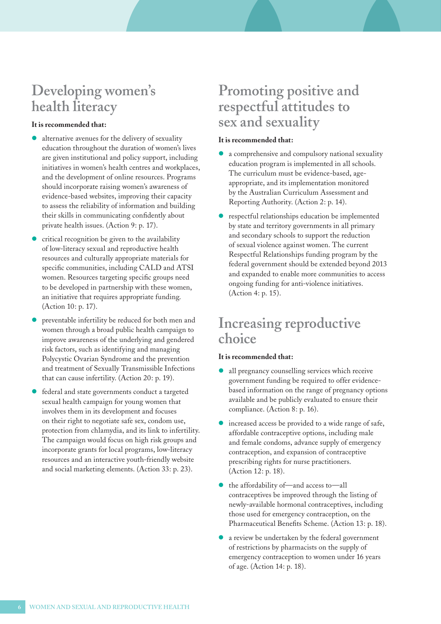### **Developing women's health literacy**

#### **It is recommended that:**

- alternative avenues for the delivery of sexuality education throughout the duration of women's lives are given institutional and policy support, including initiatives in women's health centres and workplaces, and the development of online resources. Programs should incorporate raising women's awareness of evidence-based websites, improving their capacity to assess the reliability of information and building their skills in communicating confidently about private health issues. [\(Action 9: p. 17](#page-16-0)).
- critical recognition be given to the availability of low-literacy sexual and reproductive health resources and culturally appropriate materials for specific communities, including CALD and ATSI women. Resources targeting specific groups need to be developed in partnership with these women, an initiative that requires appropriate funding. (Action [10: p. 17\)](#page-16-0).
- preventable infertility be reduced for both men and women through a broad public health campaign to improve awareness of the underlying and gendered risk factors, such as identifying and managing Polycystic Ovarian Syndrome and the prevention and treatment of Sexually Transmissible Infections that can cause infertility. [\(Action 20: p. 19](#page-18-0)).
- federal and state governments conduct a targeted sexual health campaign for young women that involves them in its development and focuses on their right to negotiate safe sex, condom use, protection from chlamydia, and its link to infertility. The campaign would focus on high risk groups and incorporate grants for local programs, low-literacy resources and an interactive youth-friendly website and social marketing elements. ([Action 33: p. 23](#page-18-0)).

### **Promoting positive and respectful attitudes to sex and sexuality**

#### **It is recommended that:**

- z a comprehensive and compulsory national sexuality education program is implemented in all schools. The curriculum must be evidence-based, ageappropriate, and its implementation monitored by the Australian Curriculum Assessment and Reporting Authority. [\(Action 2: p. 14](#page-13-0)).
- z respectful relationships education be implemented by state and territory governments in all primary and secondary schools to support the reduction of sexual violence against women. The current Respectful Relationships funding program by the federal government should be extended beyond 2013 and expanded to enable more communities to access ongoing funding for anti-violence initiatives. [\(Action 4: p. 15\)](#page-14-0).

### **Increasing reproductive choice**

- all pregnancy counselling services which receive government funding be required to offer evidencebased information on the range of pregnancy options available and be publicly evaluated to ensure their compliance. [\(Action 8: p. 16](#page-15-0)).
- increased access be provided to a wide range of safe, affordable contraceptive options, including male and female condoms, advance supply of emergency contraception, and expansion of contraceptive prescribing rights for nurse practitioners. [\(Action 12: p. 18](#page-17-0)).
- the affordability of—and access to—all contraceptives be improved through the listing of newly-available hormonal contraceptives, including those used for emergency contraception, on the Pharmaceutical Benefits Scheme. [\(Action 13: p. 18](#page-17-0)).
- z a review be undertaken by the federal government of restrictions by pharmacists on the supply of emergency contraception to women under 16 years of age. [\(Action 14: p. 18](#page-17-0)).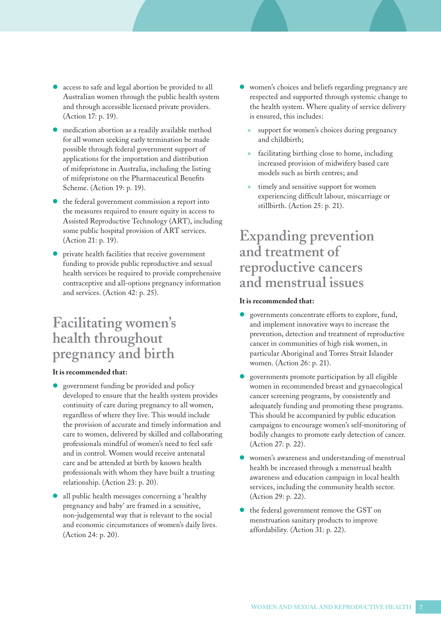- access to safe and legal abortion be provided to all Australian women through the public health system and through accessible licensed private providers. [\(Action 17: p. 19](#page-18-0)).
- medication abortion as a readily available method for all women seeking early termination be made possible through federal government support of applications for the importation and distribution of mifepristone in Australia, including the listing of mifepristone on the Pharmaceutical Benefits Scheme. [\(Action 19: p. 19\)](#page-18-0).
- the federal government commission a report into the measures required to ensure equity in access to Assisted Reproductive Technology (ART), including some public hospital provision of ART services. [\(Action 21: p. 19\)](#page-18-0).
- private health facilities that receive government funding to provide public reproductive and sexual health services be required to provide comprehensive contraceptive and all-options pregnancy information and services. [\(Action 42: p. 25](#page-24-0)).

### **Facilitating women's health throughout pregnancy and birth**

#### **It is recommended that:**

- z government funding be provided and policy developed to ensure that the health system provides continuity of care during pregnancy to all women, regardless of where they live. This would include the provision of accurate and timely information and care to women, delivered by skilled and collaborating professionals mindful of women's need to feel safe and in control. Women would receive antenatal care and be attended at birth by known health professionals with whom they have built a trusting relationship. [\(Action 23: p. 20\)](#page-19-0).
- all public health messages concerning a 'healthy pregnancy and baby' are framed in a sensitive, non-judgemental way that is relevant to the social and economic circumstances of women's daily lives. [\(Action 24: p. 20](#page-19-0)).
- women's choices and beliefs regarding pregnancy are respected and supported through systemic change to the health system. Where quality of service delivery is ensured, this includes:
	- support for women's choices during pregnancy and childbirth;
	- » facilitating birthing close to home, including increased provision of midwifery based care models such as birth centres; and
	- timely and sensitive support for women experiencing difficult labour, miscarriage or stillbirth. ([Action 25: p. 21](#page-20-0)).

### **Expanding prevention and treatment of reproductive cancers and menstrual issues**

- z governments concentrate efforts to explore, fund, and implement innovative ways to increase the prevention, detection and treatment of reproductive cancer in communities of high risk women, in particular Aboriginal and Torres Strait Islander women. [\(Action 26: p. 21](#page-20-0)).
- z governments promote participation by all eligible women in recommended breast and gynaecological cancer screening programs, by consistently and adequately funding and promoting these programs. This should be accompanied by public education campaigns to encourage women's self-monitoring of bodily changes to promote early detection of cancer. ([Action 27: p. 22](#page-21-0)).
- women's awareness and understanding of menstrual health be increased through a menstrual health awareness and education campaign in local health services, including the community health sector. ([Action 29: p. 22\)](#page-21-0).
- the federal government remove the GST on menstruation sanitary products to improve affordability. [\(Action 31: p. 22](#page-21-0)).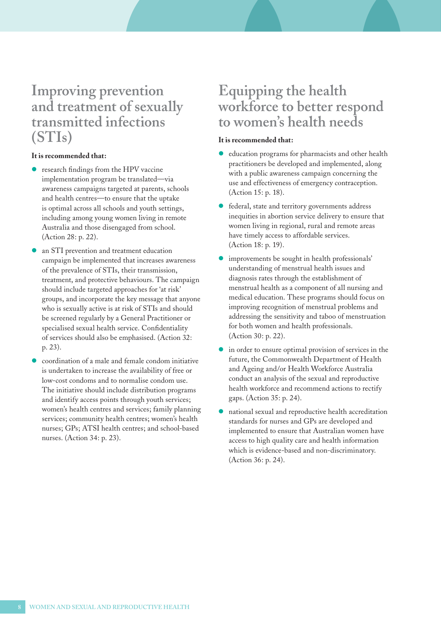### **Improving prevention and treatment of sexually transmitted infections (STIs)**

#### **It is recommended that:**

- research findings from the HPV vaccine implementation program be translated—via awareness campaigns targeted at parents, schools and health centres—to ensure that the uptake is optimal across all schools and youth settings, including among young women living in remote Australia and those disengaged from school. ([Action 28: p. 22](#page-21-0)).
- an STI prevention and treatment education campaign be implemented that increases awareness of the prevalence of STIs, their transmission, treatment, and protective behaviours. The campaign should include targeted approaches for 'at risk' groups, and incorporate the key message that anyone who is sexually active is at risk of STIs and should be screened regularly by a General Practitioner or specialised sexual health service. Confidentiality of services should also be emphasised. ([Action](#page-22-0) 32: p. [23\)](#page-22-0).
- z coordination of a male and female condom initiative is undertaken to increase the availability of free or low-cost condoms and to normalise condom use. The initiative should include distribution programs and identify access points through youth services; women's health centres and services; family planning services; community health centres; women's health nurses; GPs; ATSI health centres; and school-based nurses. ([Action 34: p. 23](#page-22-0)).

### **Equipping the health workforce to better respond to women's health needs**

- $\bullet$  education programs for pharmacists and other health practitioners be developed and implemented, along with a public awareness campaign concerning the use and effectiveness of emergency contraception. [\(Action 15: p. 18](#page-17-0)).
- federal, state and territory governments address inequities in abortion service delivery to ensure that women living in regional, rural and remote areas have timely access to affordable services. [\(Action 18: p. 19\)](#page-18-0).
- improvements be sought in health professionals' understanding of menstrual health issues and diagnosis rates through the establishment of menstrual health as a component of all nursing and medical education. These programs should focus on improving recognition of menstrual problems and addressing the sensitivity and taboo of menstruation for both women and health professionals. [\(Action 30: p. 22](#page-21-0)).
- $\bullet$  in order to ensure optimal provision of services in the future, the Commonwealth Department of Health and Ageing and/or Health Workforce Australia conduct an analysis of the sexual and reproductive health workforce and recommend actions to rectify gaps. [\(Action 35: p. 24\)](#page-23-0).
- national sexual and reproductive health accreditation standards for nurses and GPs are developed and implemented to ensure that Australian women have access to high quality care and health information which is evidence-based and non-discriminatory. [\(Action 36: p. 24\)](#page-23-0).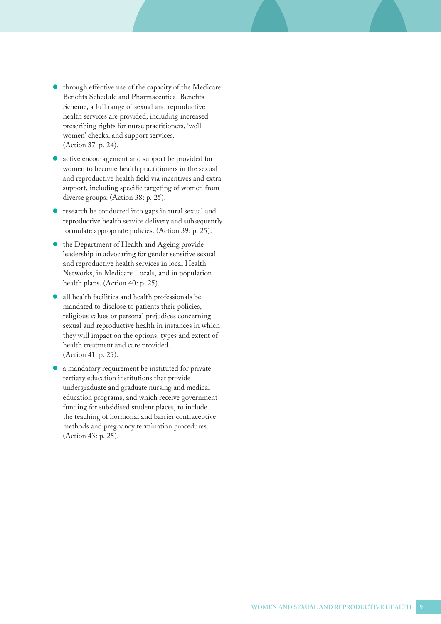- through effective use of the capacity of the Medicare Benefits Schedule and Pharmaceutical Benefits Scheme, a full range of sexual and reproductive health services are provided, including increased prescribing rights for nurse practitioners, 'well women' checks, and support services. [\(Action 37: p. 24](#page-23-0)).
- active encouragement and support be provided for women to become health practitioners in the sexual and reproductive health field via incentives and extra support, including specific targeting of women from diverse groups. (Action [38: p. 25\)](#page-24-0).
- research be conducted into gaps in rural sexual and reproductive health service delivery and subsequently formulate appropriate policies. (Action 39: p. 25).
- the Department of Health and Ageing provide leadership in advocating for gender sensitive sexual and reproductive health services in local Health Networks, in Medicare Locals, and in population health plans. ([Action 40: p. 25\)](#page-24-0).
- all health facilities and health professionals be mandated to disclose to patients their policies, religious values or personal prejudices concerning sexual and reproductive health in instances in which they will impact on the options, types and extent of health treatment and care provided. [\(Action 41: p. 25\)](#page-24-0).
- z a mandatory requirement be instituted for private tertiary education institutions that provide undergraduate and graduate nursing and medical education programs, and which receive government funding for subsidised student places, to include the teaching of hormonal and barrier contraceptive methods and pregnancy termination procedures. [\(Action](#page-24-0) 43: p. 25).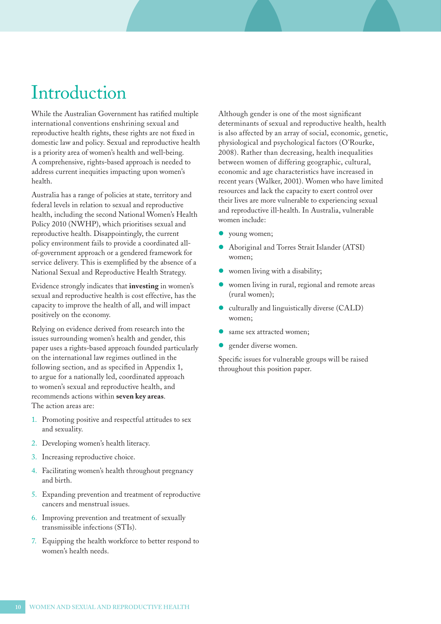## <span id="page-9-0"></span>Introduction

While the Australian Government has ratified multiple international conventions enshrining sexual and reproductive health rights, these rights are not fixed in domestic law and policy. Sexual and reproductive health is a priority area of women's health and well-being. A comprehensive, rights-based approach is needed to address current inequities impacting upon women's health.

Australia has a range of policies at state, territory and federal levels in relation to sexual and reproductive health, including the second National Women's Health Policy 2010 (NWHP), which prioritises sexual and reproductive health. Disappointingly, the current policy environment fails to provide a coordinated allof-government approach or a gendered framework for service delivery. This is exemplified by the absence of a National Sexual and Reproductive Health Strategy.

Evidence strongly indicates that **investing** in women's sexual and reproductive health is cost effective, has the capacity to improve the health of all, and will impact positively on the economy.

Relying on evidence derived from research into the issues surrounding women's health and gender, this paper uses a rights-based approach founded particularly on the international law regimes outlined in the following section, and as specified in Appendix 1, to argue for a nationally led, coordinated approach to women's sexual and reproductive health, and recommends actions within **seven key areas**. The action areas are:

- 1. Promoting positive and respectful attitudes to sex and sexuality.
- 2. Developing women's health literacy.
- 3. Increasing reproductive choice.
- 4. Facilitating women's health throughout pregnancy and birth.
- 5. Expanding prevention and treatment of reproductive cancers and menstrual issues.
- 6. Improving prevention and treatment of sexually transmissible infections (STIs).
- 7. Equipping the health workforce to better respond to women's health needs.

Although gender is one of the most significant determinants of sexual and reproductive health, health is also affected by an array of social, economic, genetic, physiological and psychological factors (O'Rourke, 2008). Rather than decreasing, health inequalities between women of differing geographic, cultural, economic and age characteristics have increased in recent years (Walker, 2001). Women who have limited resources and lack the capacity to exert control over their lives are more vulnerable to experiencing sexual and reproductive ill-health. In Australia, vulnerable women include:

- young women;
- Aboriginal and Torres Strait Islander (ATSI) women;
- women living with a disability;
- women living in rural, regional and remote areas (rural women);
- culturally and linguistically diverse (CALD) women;
- same sex attracted women;
- gender diverse women.

Specific issues for vulnerable groups will be raised throughout this position paper.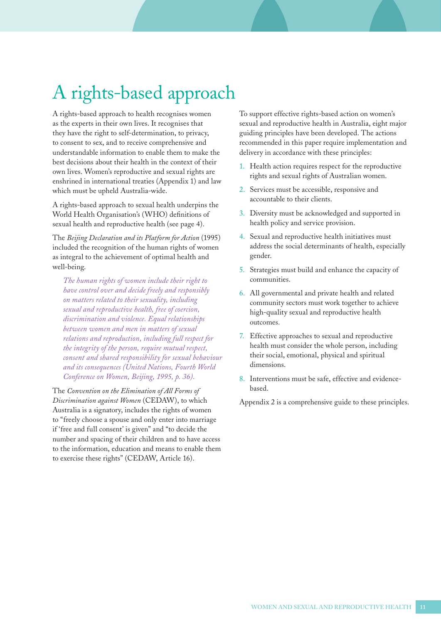## <span id="page-10-0"></span>A rights-based approach

A rights-based approach to health recognises women as the experts in their own lives. It recognises that they have the right to self-determination, to privacy, to consent to sex, and to receive comprehensive and understandable information to enable them to make the best decisions about their health in the context of their own lives. Women's reproductive and sexual rights are enshrined in international treaties (Appendix 1) and law which must be upheld Australia-wide.

A rights-based approach to sexual health underpins the World Health Organisation's (WHO) definitions of sexual health and reproductive health (see page 4).

The *Beijing Declaration and its Platform for Action* (1995) included the recognition of the human rights of women as integral to the achievement of optimal health and well-being.

*The human rights of women include their right to have control over and decide freely and responsibly on matters related to their sexuality, including sexual and reproductive health, free of coercion, discrimination and violence. Equal relationships between women and men in matters of sexual relations and reproduction, including full respect for the integrity of the person, require mutual respect, consent and shared responsibility for sexual behaviour and its consequences (United Nations, Fourth World Conference on Women, Beijing, 1995, p. 36).* 

The *Convention on the Elimination of All Forms of Discrimination against Women* (CEDAW), to which Australia is a signatory, includes the rights of women to "freely choose a spouse and only enter into marriage if 'free and full consent' is given" and "to decide the number and spacing of their children and to have access to the information, education and means to enable them to exercise these rights" (CEDAW, Article 16).

To support effective rights-based action on women's sexual and reproductive health in Australia, eight major guiding principles have been developed. The actions recommended in this paper require implementation and delivery in accordance with these principles:

- 1. Health action requires respect for the reproductive rights and sexual rights of Australian women.
- 2. Services must be accessible, responsive and accountable to their clients.
- 3. Diversity must be acknowledged and supported in health policy and service provision.
- 4. Sexual and reproductive health initiatives must address the social determinants of health, especially gender.
- 5. Strategies must build and enhance the capacity of communities.
- 6. All governmental and private health and related community sectors must work together to achieve high-quality sexual and reproductive health outcomes.
- 7. Effective approaches to sexual and reproductive health must consider the whole person, including their social, emotional, physical and spiritual dimensions.
- 8. Interventions must be safe, effective and evidencebased.

Appendix 2 is a comprehensive guide to these principles.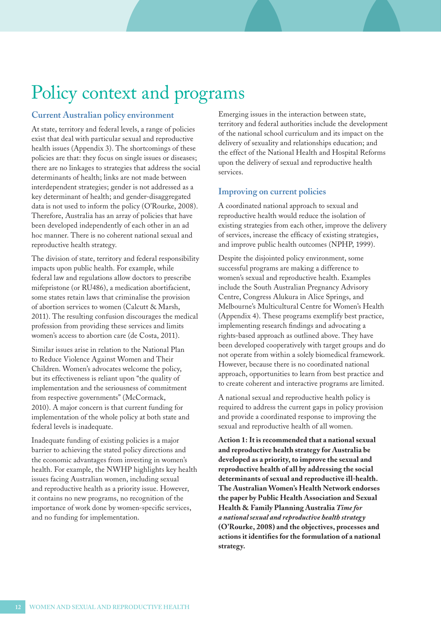## <span id="page-11-0"></span>Policy context and programs

#### **Current Australian policy environment**

At state, territory and federal levels, a range of policies exist that deal with particular sexual and reproductive health issues (Appendix 3). The shortcomings of these policies are that: they focus on single issues or diseases; there are no linkages to strategies that address the social determinants of health; links are not made between interdependent strategies; gender is not addressed as a key determinant of health; and gender-disaggregated data is not used to inform the policy (O'Rourke, 2008). Therefore, Australia has an array of policies that have been developed independently of each other in an ad hoc manner. There is no coherent national sexual and reproductive health strategy.

The division of state, territory and federal responsibility impacts upon public health. For example, while federal law and regulations allow doctors to prescribe mifepristone (or RU486), a medication abortifacient, some states retain laws that criminalise the provision of abortion services to women (Calcutt & Marsh, 2011). The resulting confusion discourages the medical profession from providing these services and limits women's access to abortion care (de Costa, 2011).

Similar issues arise in relation to the National Plan to Reduce Violence Against Women and Their Children. Women's advocates welcome the policy, but its effectiveness is reliant upon "the quality of implementation and the seriousness of commitment from respective governments" (McCormack, 2010). A major concern is that current funding for implementation of the whole policy at both state and federal levels is inadequate.

Inadequate funding of existing policies is a major barrier to achieving the stated policy directions and the economic advantages from investing in women's health. For example, the NWHP highlights key health issues facing Australian women, including sexual and reproductive health as a priority issue. However, it contains no new programs, no recognition of the importance of work done by women-specific services, and no funding for implementation.

Emerging issues in the interaction between state, territory and federal authorities include the development of the national school curriculum and its impact on the delivery of sexuality and relationships education; and the effect of the National Health and Hospital Reforms upon the delivery of sexual and reproductive health services.

#### **Improving on current policies**

A coordinated national approach to sexual and reproductive health would reduce the isolation of existing strategies from each other, improve the delivery of services, increase the efficacy of existing strategies, and improve public health outcomes (NPHP, 1999).

Despite the disjointed policy environment, some successful programs are making a difference to women's sexual and reproductive health. Examples include the South Australian Pregnancy Advisory Centre, Congress Alukura in Alice Springs, and Melbourne's Multicultural Centre for Women's Health (Appendix 4). These programs exemplify best practice, implementing research findings and advocating a rights-based approach as outlined above. They have been developed cooperatively with target groups and do not operate from within a solely biomedical framework. However, because there is no coordinated national approach, opportunities to learn from best practice and to create coherent and interactive programs are limited.

A national sexual and reproductive health policy is required to address the current gaps in policy provision and provide a coordinated response to improving the sexual and reproductive health of all women.

**Action 1: It is recommended that a national sexual and reproductive health strategy for Australia be developed as a priority, to improve the sexual and reproductive health of all by addressing the social determinants of sexual and reproductive ill-health. The Australian Women's Health Network endorses the paper by Public Health Association and Sexual Health & Family Planning Australia** *Time for a national sexual and reproductive health strategy* **(O'Rourke, 2008) and the objectives, processes and actions it identifies for the formulation of a national strategy.**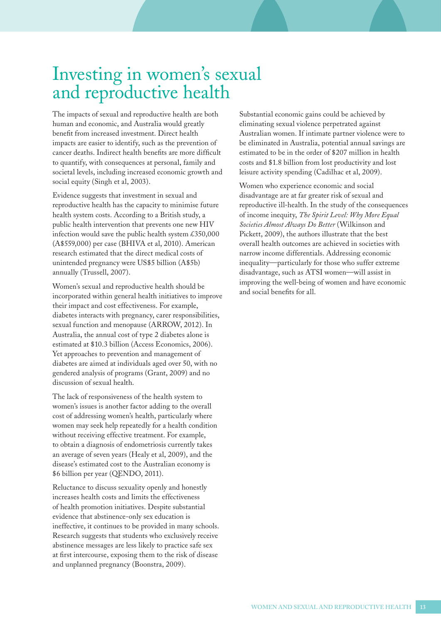## <span id="page-12-0"></span>Investing in women's sexual and reproductive health

The impacts of sexual and reproductive health are both human and economic, and Australia would greatly benefit from increased investment. Direct health impacts are easier to identify, such as the prevention of cancer deaths. Indirect health benefits are more difficult to quantify, with consequences at personal, family and societal levels, including increased economic growth and social equity (Singh et al, 2003).

Evidence suggests that investment in sexual and reproductive health has the capacity to minimise future health system costs. According to a British study, a public health intervention that prevents one new HIV infection would save the public health system £350,000 (A\$559,000) per case (BHIVA et al, 2010). American research estimated that the direct medical costs of unintended pregnancy were US\$5 billion (A\$5b) annually (Trussell, 2007).

Women's sexual and reproductive health should be incorporated within general health initiatives to improve their impact and cost effectiveness. For example, diabetes interacts with pregnancy, carer responsibilities, sexual function and menopause (ARROW, 2012). In Australia, the annual cost of type 2 diabetes alone is estimated at \$10.3 billion (Access Economics, 2006). Yet approaches to prevention and management of diabetes are aimed at individuals aged over 50, with no gendered analysis of programs (Grant, 2009) and no discussion of sexual health.

The lack of responsiveness of the health system to women's issues is another factor adding to the overall cost of addressing women's health, particularly where women may seek help repeatedly for a health condition without receiving effective treatment. For example, to obtain a diagnosis of endometriosis currently takes an average of seven years (Healy et al, 2009), and the disease's estimated cost to the Australian economy is \$6 billion per year (QENDO, 2011).

Reluctance to discuss sexuality openly and honestly increases health costs and limits the effectiveness of health promotion initiatives. Despite substantial evidence that abstinence-only sex education is ineffective, it continues to be provided in many schools. Research suggests that students who exclusively receive abstinence messages are less likely to practice safe sex at first intercourse, exposing them to the risk of disease and unplanned pregnancy (Boonstra, 2009).

Substantial economic gains could be achieved by eliminating sexual violence perpetrated against Australian women. If intimate partner violence were to be eliminated in Australia, potential annual savings are estimated to be in the order of \$207 million in health costs and \$1.8 billion from lost productivity and lost leisure activity spending (Cadilhac et al, 2009).

Women who experience economic and social disadvantage are at far greater risk of sexual and reproductive ill-health. In the study of the consequences of income inequity, *The Spirit Level: Why More Equal Societies Almost Always Do Better* (Wilkinson and Pickett, 2009), the authors illustrate that the best overall health outcomes are achieved in societies with narrow income differentials. Addressing economic inequality—particularly for those who suffer extreme disadvantage, such as ATSI women—will assist in improving the well-being of women and have economic and social benefits for all.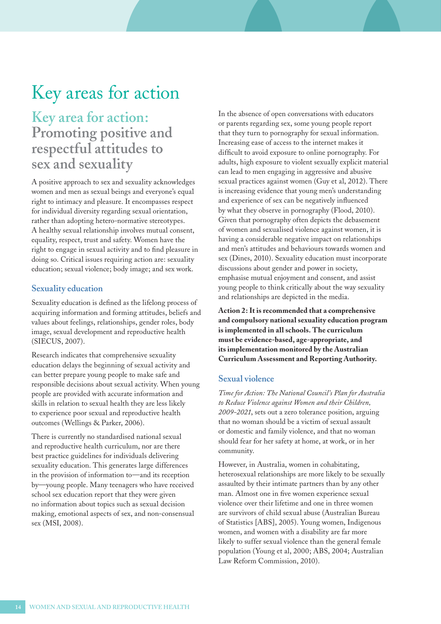## <span id="page-13-0"></span>Key areas for action

### **Key area for action: Promoting positive and respectful attitudes to sex and sexuality**

A positive approach to sex and sexuality acknowledges women and men as sexual beings and everyone's equal right to intimacy and pleasure. It encompasses respect for individual diversity regarding sexual orientation, rather than adopting hetero-normative stereotypes. A healthy sexual relationship involves mutual consent, equality, respect, trust and safety. Women have the right to engage in sexual activity and to find pleasure in doing so. Critical issues requiring action are: sexuality education; sexual violence; body image; and sex work.

#### **Sexuality education**

Sexuality education is defined as the lifelong process of acquiring information and forming attitudes, beliefs and values about feelings, relationships, gender roles, body image, sexual development and reproductive health (SIECUS, 2007).

Research indicates that comprehensive sexuality education delays the beginning of sexual activity and can better prepare young people to make safe and responsible decisions about sexual activity. When young people are provided with accurate information and skills in relation to sexual health they are less likely to experience poor sexual and reproductive health outcomes (Wellings & Parker, 2006).

There is currently no standardised national sexual and reproductive health curriculum, nor are there best practice guidelines for individuals delivering sexuality education. This generates large differences in the provision of information to—and its reception by—young people. Many teenagers who have received school sex education report that they were given no information about topics such as sexual decision making, emotional aspects of sex, and non-consensual sex (MSI, 2008).

In the absence of open conversations with educators or parents regarding sex, some young people report that they turn to pornography for sexual information. Increasing ease of access to the internet makes it difficult to avoid exposure to online pornography. For adults, high exposure to violent sexually explicit material can lead to men engaging in aggressive and abusive sexual practices against women (Guy et al, 2012). There is increasing evidence that young men's understanding and experience of sex can be negatively influenced by what they observe in pornography (Flood, 2010). Given that pornography often depicts the debasement of women and sexualised violence against women, it is having a considerable negative impact on relationships and men's attitudes and behaviours towards women and sex (Dines, 2010). Sexuality education must incorporate discussions about gender and power in society, emphasise mutual enjoyment and consent, and assist young people to think critically about the way sexuality and relationships are depicted in the media.

**Action 2: It is recommended that a comprehensive and compulsory national sexuality education program is implemented in all schools. The curriculum must be evidence-based, age-appropriate, and its implementation monitored by the Australian Curriculum Assessment and Reporting Authority.** 

#### **Sexual violence**

*Time for Action: The National Council's Plan for Australia to Reduce Violence against Women and their Children, 2009-2021*, sets out a zero tolerance position, arguing that no woman should be a victim of sexual assault or domestic and family violence, and that no woman should fear for her safety at home, at work, or in her community.

However, in Australia, women in cohabitating, heterosexual relationships are more likely to be sexually assaulted by their intimate partners than by any other man. Almost one in five women experience sexual violence over their lifetime and one in three women are survivors of child sexual abuse (Australian Bureau of Statistics [ABS], 2005). Young women, Indigenous women, and women with a disability are far more likely to suffer sexual violence than the general female population (Young et al, 2000; ABS, 2004; Australian Law Reform Commission, 2010).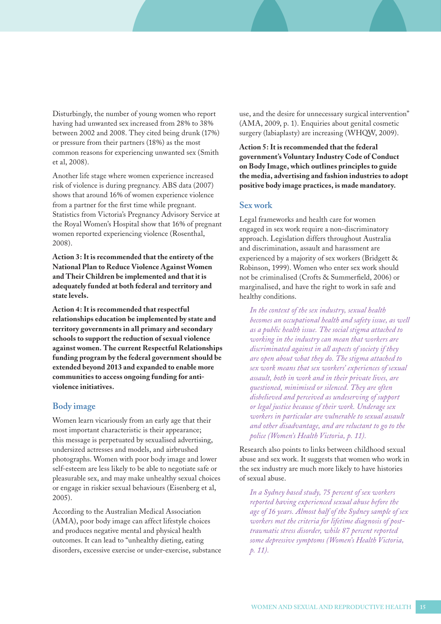<span id="page-14-0"></span>Disturbingly, the number of young women who report having had unwanted sex increased from 28% to 38% between 2002 and 2008. They cited being drunk (17%) or pressure from their partners (18%) as the most common reasons for experiencing unwanted sex (Smith et al, 2008).

Another life stage where women experience increased risk of violence is during pregnancy. ABS data (2007) shows that around 16% of women experience violence from a partner for the first time while pregnant. Statistics from Victoria's Pregnancy Advisory Service at the Royal Women's Hospital show that 16% of pregnant women reported experiencing violence (Rosenthal, 2008).

**Action 3: It is recommended that the entirety of the National Plan to Reduce Violence Against Women and Their Children be implemented and that it is adequately funded at both federal and territory and state levels.** 

**Action 4: It is recommended that respectful relationships education be implemented by state and territory governments in all primary and secondary schools to support the reduction of sexual violence against women. The current Respectful Relationships funding program by the federal government should be extended beyond 2013 and expanded to enable more communities to access ongoing funding for antiviolence initiatives.** 

#### **Body image**

Women learn vicariously from an early age that their most important characteristic is their appearance; this message is perpetuated by sexualised advertising, undersized actresses and models, and airbrushed photographs. Women with poor body image and lower self-esteem are less likely to be able to negotiate safe or pleasurable sex, and may make unhealthy sexual choices or engage in riskier sexual behaviours (Eisenberg et al, 2005).

According to the Australian Medical Association (AMA), poor body image can affect lifestyle choices and produces negative mental and physical health outcomes. It can lead to "unhealthy dieting, eating disorders, excessive exercise or under-exercise, substance use, and the desire for unnecessary surgical intervention" (AMA, 2009, p. 1). Enquiries about genital cosmetic surgery (labiaplasty) are increasing (WHQW, 2009).

**Action 5: It is recommended that the federal government's Voluntary Industry Code of Conduct on Body Image, which outlines principles to guide the media, advertising and fashion industries to adopt positive body image practices, is made mandatory.** 

#### **Sex work**

Legal frameworks and health care for women engaged in sex work require a non-discriminatory approach. Legislation differs throughout Australia and discrimination, assault and harassment are experienced by a majority of sex workers (Bridgett & Robinson, 1999). Women who enter sex work should not be criminalised (Crofts & Summerfield, 2006) or marginalised, and have the right to work in safe and healthy conditions.

*In the context of the sex industry, sexual health becomes an occupational health and safety issue, as well as a public health issue. The social stigma attached to working in the industry can mean that workers are discriminated against in all aspects of society if they are open about what they do. The stigma attached to sex work means that sex workers' experiences of sexual assault, both in work and in their private lives, are questioned, minimised or silenced. They are often disbelieved and perceived as undeserving of support or legal justice because of their work. Underage sex workers in particular are vulnerable to sexual assault and other disadvantage, and are reluctant to go to the police (Women's Health Victoria, p. 11).*

Research also points to links between childhood sexual abuse and sex work. It suggests that women who work in the sex industry are much more likely to have histories of sexual abuse.

*In a Sydney based study, 75 percent of sex workers reported having experienced sexual abuse before the age of 16 years. Almost half of the Sydney sample of sex workers met the criteria for lifetime diagnosis of posttraumatic stress disorder, while 87 percent reported some depressive symptoms (Women's Health Victoria, p. 11).*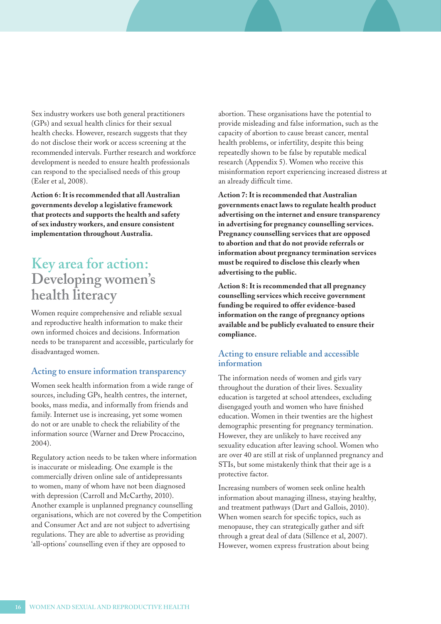<span id="page-15-0"></span>Sex industry workers use both general practitioners (GPs) and sexual health clinics for their sexual health checks. However, research suggests that they do not disclose their work or access screening at the recommended intervals. Further research and workforce development is needed to ensure health professionals can respond to the specialised needs of this group (Esler et al, 2008).

**Action 6: It is recommended that all Australian governments develop a legislative framework that protects and supports the health and safety of sex industry workers, and ensure consistent implementation throughout Australia.** 

### **Key area for action: Developing women's health literacy**

Women require comprehensive and reliable sexual and reproductive health information to make their own informed choices and decisions. Information needs to be transparent and accessible, particularly for disadvantaged women.

#### **Acting to ensure information transparency**

Women seek health information from a wide range of sources, including GPs, health centres, the internet, books, mass media, and informally from friends and family. Internet use is increasing, yet some women do not or are unable to check the reliability of the information source (Warner and Drew Procaccino, 2004).

Regulatory action needs to be taken where information is inaccurate or misleading. One example is the commercially driven online sale of antidepressants to women, many of whom have not been diagnosed with depression (Carroll and McCarthy, 2010). Another example is unplanned pregnancy counselling organisations, which are not covered by the Competition and Consumer Act and are not subject to advertising regulations. They are able to advertise as providing 'all-options' counselling even if they are opposed to

abortion. These organisations have the potential to provide misleading and false information, such as the capacity of abortion to cause breast cancer, mental health problems, or infertility, despite this being repeatedly shown to be false by reputable medical research (Appendix 5). Women who receive this misinformation report experiencing increased distress at an already difficult time.

**Action 7: It is recommended that Australian governments enact laws to regulate health product advertising on the internet and ensure transparency in advertising for pregnancy counselling services. Pregnancy counselling services that are opposed to abortion and that do not provide referrals or information about pregnancy termination services must be required to disclose this clearly when advertising to the public.** 

**Action 8: It is recommended that all pregnancy counselling services which receive government funding be required to offer evidence-based information on the range of pregnancy options available and be publicly evaluated to ensure their compliance.** 

#### **Acting to ensure reliable and accessible information**

The information needs of women and girls vary throughout the duration of their lives. Sexuality education is targeted at school attendees, excluding disengaged youth and women who have finished education. Women in their twenties are the highest demographic presenting for pregnancy termination. However, they are unlikely to have received any sexuality education after leaving school. Women who are over 40 are still at risk of unplanned pregnancy and STIs, but some mistakenly think that their age is a protective factor.

Increasing numbers of women seek online health information about managing illness, staying healthy, and treatment pathways (Dart and Gallois, 2010). When women search for specific topics, such as menopause, they can strategically gather and sift through a great deal of data (Sillence et al, 2007). However, women express frustration about being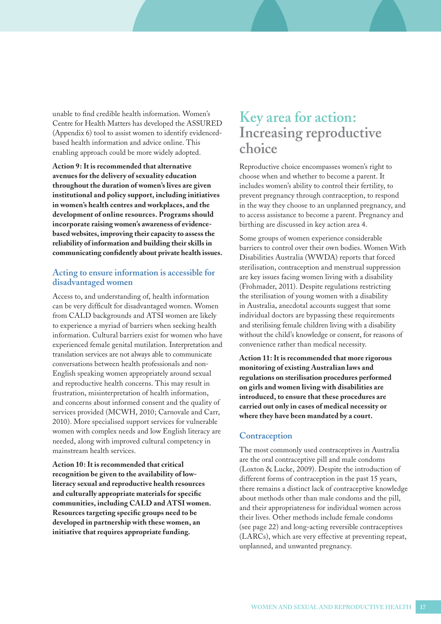<span id="page-16-0"></span>unable to find credible health information. Women's Centre for Health Matters has developed the ASSURED (Appendix 6) tool to assist women to identify evidencedbased health information and advice online. This enabling approach could be more widely adopted.

**Action 9: It is recommended that alternative avenues for the delivery of sexuality education throughout the duration of women's lives are given institutional and policy support, including initiatives in women's health centres and workplaces, and the development of online resources. Programs should incorporate raising women's awareness of evidencebased websites, improving their capacity to assess the reliability of information and building their skills in communicating confidently about private health issues.** 

#### **Acting to ensure information is accessible for disadvantaged women**

Access to, and understanding of, health information can be very difficult for disadvantaged women. Women from CALD backgrounds and ATSI women are likely to experience a myriad of barriers when seeking health information. Cultural barriers exist for women who have experienced female genital mutilation. Interpretation and translation services are not always able to communicate conversations between health professionals and non-English speaking women appropriately around sexual and reproductive health concerns. This may result in frustration, misinterpretation of health information, and concerns about informed consent and the quality of services provided (MCWH, 2010; Carnovale and Carr, 2010). More specialised support services for vulnerable women with complex needs and low English literacy are needed, along with improved cultural competency in mainstream health services.

**Action 10: It is recommended that critical recognition be given to the availability of lowliteracy sexual and reproductive health resources and culturally appropriate materials for specific communities, including CALD and ATSI women. Resources targeting specific groups need to be developed in partnership with these women, an initiative that requires appropriate funding.** 

### **Key area for action: Increasing reproductive choice**

Reproductive choice encompasses women's right to choose when and whether to become a parent. It includes women's ability to control their fertility, to prevent pregnancy through contraception, to respond in the way they choose to an unplanned pregnancy, and to access assistance to become a parent. Pregnancy and birthing are discussed in key action area 4.

Some groups of women experience considerable barriers to control over their own bodies. Women With Disabilities Australia (WWDA) reports that forced sterilisation, contraception and menstrual suppression are key issues facing women living with a disability (Frohmader, 2011). Despite regulations restricting the sterilisation of young women with a disability in Australia, anecdotal accounts suggest that some individual doctors are bypassing these requirements and sterilising female children living with a disability without the child's knowledge or consent, for reasons of convenience rather than medical necessity.

**Action 11: It is recommended that more rigorous monitoring of existing Australian laws and regulations on sterilisation procedures performed on girls and women living with disabilities are introduced, to ensure that these procedures are carried out only in cases of medical necessity or where they have been mandated by a court.** 

#### **Contraception**

The most commonly used contraceptives in Australia are the oral contraceptive pill and male condoms (Loxton & Lucke, 2009). Despite the introduction of different forms of contraception in the past 15 years, there remains a distinct lack of contraceptive knowledge about methods other than male condoms and the pill, and their appropriateness for individual women across their lives. Other methods include female condoms (see page 22) and long-acting reversible contraceptives (LARCs), which are very effective at preventing repeat, unplanned, and unwanted pregnancy.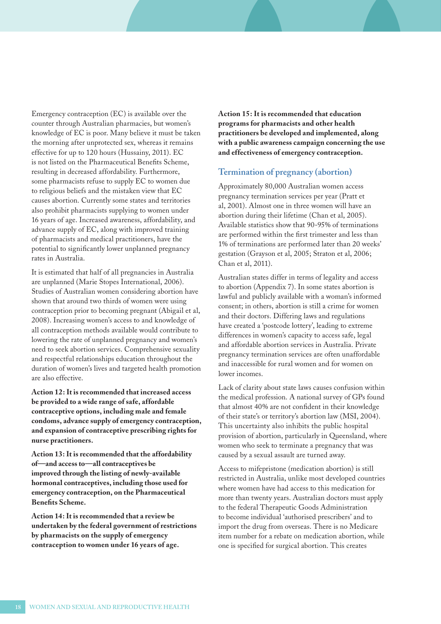<span id="page-17-0"></span>Emergency contraception (EC) is available over the counter through Australian pharmacies, but women's knowledge of EC is poor. Many believe it must be taken the morning after unprotected sex, whereas it remains effective for up to 120 hours (Hussainy, 2011). EC is not listed on the Pharmaceutical Benefits Scheme, resulting in decreased affordability. Furthermore, some pharmacists refuse to supply EC to women due to religious beliefs and the mistaken view that EC causes abortion. Currently some states and territories also prohibit pharmacists supplying to women under 16 years of age. Increased awareness, affordability, and advance supply of EC, along with improved training of pharmacists and medical practitioners, have the potential to significantly lower unplanned pregnancy rates in Australia.

It is estimated that half of all pregnancies in Australia are unplanned (Marie Stopes International, 2006). Studies of Australian women considering abortion have shown that around two thirds of women were using contraception prior to becoming pregnant (Abigail et al, 2008). Increasing women's access to and knowledge of all contraception methods available would contribute to lowering the rate of unplanned pregnancy and women's need to seek abortion services. Comprehensive sexuality and respectful relationships education throughout the duration of women's lives and targeted health promotion are also effective.

**Action 12: It is recommended that increased access be provided to a wide range of safe, affordable contraceptive options, including male and female condoms, advance supply of emergency contraception, and expansion of contraceptive prescribing rights for nurse practitioners.** 

**Action 13: It is recommended that the affordability of—and access to—all contraceptives be improved through the listing of newly-available hormonal contraceptives, including those used for emergency contraception, on the Pharmaceutical Benefits Scheme.** 

**Action 14: It is recommended that a review be undertaken by the federal government of restrictions by pharmacists on the supply of emergency contraception to women under 16 years of age.** 

**Action 15: It is recommended that education programs for pharmacists and other health practitioners be developed and implemented, along with a public awareness campaign concerning the use and effectiveness of emergency contraception.** 

#### **Termination of pregnancy (abortion)**

Approximately 80,000 Australian women access pregnancy termination services per year (Pratt et al, 2001). Almost one in three women will have an abortion during their lifetime (Chan et al, 2005). Available statistics show that 90-95% of terminations are performed within the first trimester and less than 1% of terminations are performed later than 20 weeks' gestation (Grayson et al, 2005; Straton et al, 2006; Chan et al, 2011).

Australian states differ in terms of legality and access to abortion (Appendix 7). In some states abortion is lawful and publicly available with a woman's informed consent; in others, abortion is still a crime for women and their doctors. Differing laws and regulations have created a 'postcode lottery', leading to extreme differences in women's capacity to access safe, legal and affordable abortion services in Australia. Private pregnancy termination services are often unaffordable and inaccessible for rural women and for women on lower incomes.

Lack of clarity about state laws causes confusion within the medical profession. A national survey of GPs found that almost 40% are not confident in their knowledge of their state's or territory's abortion law (MSI, 2004). This uncertainty also inhibits the public hospital provision of abortion, particularly in Queensland, where women who seek to terminate a pregnancy that was caused by a sexual assault are turned away.

Access to mifepristone (medication abortion) is still restricted in Australia, unlike most developed countries where women have had access to this medication for more than twenty years. Australian doctors must apply to the federal Therapeutic Goods Administration to become individual 'authorised prescribers' and to import the drug from overseas. There is no Medicare item number for a rebate on medication abortion, while one is specified for surgical abortion. This creates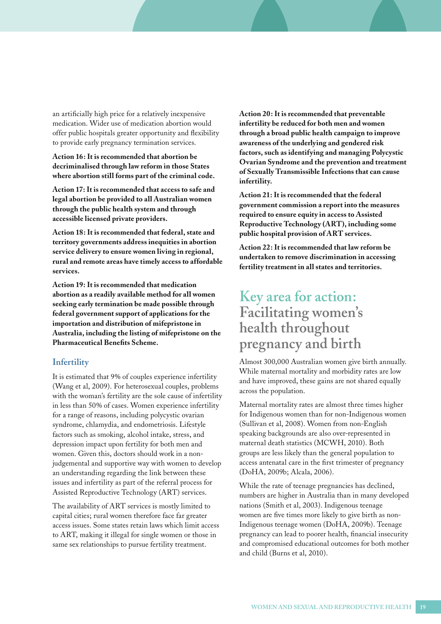<span id="page-18-0"></span>an artificially high price for a relatively inexpensive medication. Wider use of medication abortion would offer public hospitals greater opportunity and flexibility to provide early pregnancy termination services.

**Action 16: It is recommended that abortion be decriminalised through law reform in those States where abortion still forms part of the criminal code.** 

**Action 17: It is recommended that access to safe and legal abortion be provided to all Australian women through the public health system and through accessible licensed private providers.**

**Action 18: It is recommended that federal, state and territory governments address inequities in abortion service delivery to ensure women living in regional, rural and remote areas have timely access to affordable services.**

**Action 19: It is recommended that medication abortion as a readily available method for all women seeking early termination be made possible through federal government support of applications for the importation and distribution of mifepristone in Australia, including the listing of mifepristone on the Pharmaceutical Benefits Scheme.** 

#### **Infertility**

It is estimated that 9% of couples experience infertility (Wang et al, 2009). For heterosexual couples, problems with the woman's fertility are the sole cause of infertility in less than 50% of cases. Women experience infertility for a range of reasons, including polycystic ovarian syndrome, chlamydia, and endometriosis. Lifestyle factors such as smoking, alcohol intake, stress, and depression impact upon fertility for both men and women. Given this, doctors should work in a nonjudgemental and supportive way with women to develop an understanding regarding the link between these issues and infertility as part of the referral process for Assisted Reproductive Technology (ART) services.

The availability of ART services is mostly limited to capital cities; rural women therefore face far greater access issues. Some states retain laws which limit access to ART, making it illegal for single women or those in same sex relationships to pursue fertility treatment.

**Action 20: It is recommended that preventable infertility be reduced for both men and women through a broad public health campaign to improve awareness of the underlying and gendered risk factors, such as identifying and managing Polycystic Ovarian Syndrome and the prevention and treatment of Sexually Transmissible Infections that can cause infertility.** 

**Action 21: It is recommended that the federal government commission a report into the measures required to ensure equity in access to Assisted Reproductive Technology (ART), including some public hospital provision of ART services.** 

**Action 22: It is recommended that law reform be undertaken to remove discrimination in accessing fertility treatment in all states and territories.**

### **Key area for action: Facilitating women's health throughout pregnancy and birth**

Almost 300,000 Australian women give birth annually. While maternal mortality and morbidity rates are low and have improved, these gains are not shared equally across the population.

Maternal mortality rates are almost three times higher for Indigenous women than for non-Indigenous women (Sullivan et al, 2008). Women from non-English speaking backgrounds are also over-represented in maternal death statistics (MCWH, 2010). Both groups are less likely than the general population to access antenatal care in the first trimester of pregnancy (DoHA, 2009b; Alcala, 2006).

While the rate of teenage pregnancies has declined, numbers are higher in Australia than in many developed nations (Smith et al, 2003). Indigenous teenage women are five times more likely to give birth as non-Indigenous teenage women (DoHA, 2009b). Teenage pregnancy can lead to poorer health, financial insecurity and compromised educational outcomes for both mother and child (Burns et al, 2010).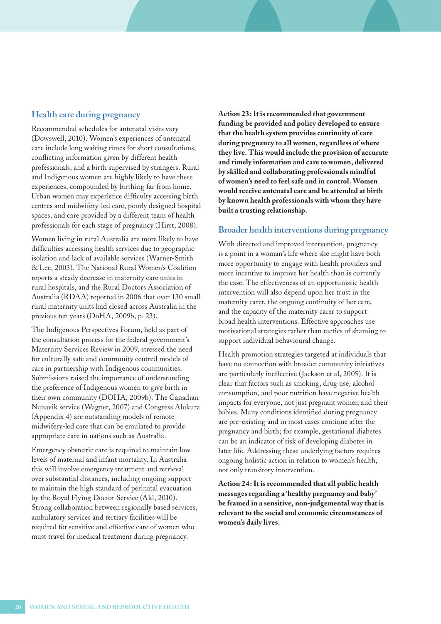#### <span id="page-19-0"></span>**Health care during pregnancy**

Recommended schedules for antenatal visits vary (Dowswell, 2010). Women's experiences of antenatal care include long waiting times for short consultations, conflicting information given by different health professionals, and a birth supervised by strangers. Rural and Indigenous women are highly likely to have these experiences, compounded by birthing far from home. Urban women may experience difficulty accessing birth centres and midwifery-led care, poorly designed hospital spaces, and care provided by a different team of health professionals for each stage of pregnancy (Hirst, 2008).

Women living in rural Australia are more likely to have difficulties accessing health services due to geographic isolation and lack of available services (Warner-Smith & Lee, 2003). The National Rural Women's Coalition reports a steady decrease in maternity care units in rural hospitals, and the Rural Doctors Association of Australia (RDAA) reported in 2006 that over 130 small rural maternity units had closed across Australia in the previous ten years (DoHA, 2009b, p. 23).

The Indigenous Perspectives Forum, held as part of the consultation process for the federal government's Maternity Services Review in 2009, stressed the need for culturally safe and community centred models of care in partnership with Indigenous communities. Submissions raised the importance of understanding the preference of Indigenous women to give birth in their own community (DOHA, 2009b). The Canadian Nunavik service (Wagner, 2007) and Congress Alukura (Appendix 4) are outstanding models of remote midwifery-led care that can be emulated to provide appropriate care in nations such as Australia.

Emergency obstetric care is required to maintain low levels of maternal and infant mortality. In Australia this will involve emergency treatment and retrieval over substantial distances, including ongoing support to maintain the high standard of perinatal evacuation by the Royal Flying Doctor Service (Akl, 2010). Strong collaboration between regionally based services, ambulatory services and tertiary facilities will be required for sensitive and effective care of women who must travel for medical treatment during pregnancy.

**Action 23: It is recommended that government funding be provided and policy developed to ensure that the health system provides continuity of care during pregnancy to all women, regardless of where they live. This would include the provision of accurate and timely information and care to women, delivered by skilled and collaborating professionals mindful of women's need to feel safe and in control. Women would receive antenatal care and be attended at birth by known health professionals with whom they have built a trusting relationship.** 

#### **Broader health interventions during pregnancy**

With directed and improved intervention, pregnancy is a point in a woman's life where she might have both more opportunity to engage with health providers and more incentive to improve her health than is currently the case. The effectiveness of an opportunistic health intervention will also depend upon her trust in the maternity carer, the ongoing continuity of her care, and the capacity of the maternity carer to support broad health interventions. Effective approaches use motivational strategies rather than tactics of shaming to support individual behavioural change.

Health promotion strategies targeted at individuals that have no connection with broader community initiatives are particularly ineffective (Jackson et al, 2005). It is clear that factors such as smoking, drug use, alcohol consumption, and poor nutrition have negative health impacts for everyone, not just pregnant women and their babies. Many conditions identified during pregnancy are pre-existing and in most cases continue after the pregnancy and birth; for example, gestational diabetes can be an indicator of risk of developing diabetes in later life. Addressing these underlying factors requires ongoing holistic action in relation to women's health, not only transitory intervention.

**Action 24: It is recommended that all public health messages regarding a 'healthy pregnancy and baby' be framed in a sensitive, non-judgemental way that is relevant to the social and economic circumstances of women's daily lives.**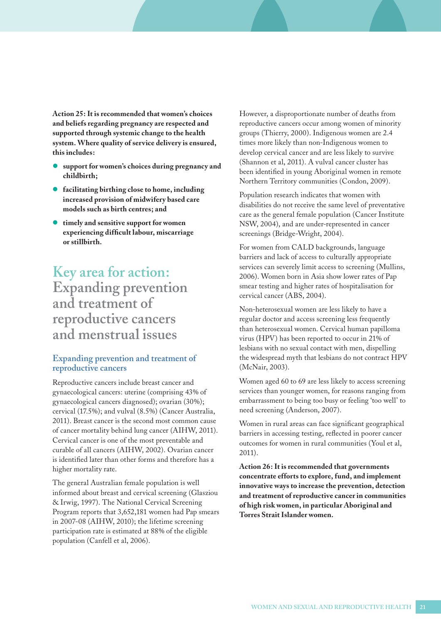<span id="page-20-0"></span>**Action 25: It is recommended that women's choices and beliefs regarding pregnancy are respected and supported through systemic change to the health system. Where quality of service delivery is ensured, this includes:**

- support for women's choices during pregnancy and **childbirth;**
- **•** facilitating birthing close to home, including **increased provision of midwifery based care models such as birth centres; and**
- timely and sensitive support for women **experiencing difficult labour, miscarriage or stillbirth.**

### **Key area for action: Expanding prevention and treatment of reproductive cancers and menstrual issues**

#### **Expanding prevention and treatment of reproductive cancers**

Reproductive cancers include breast cancer and gynaecological cancers: uterine (comprising 43% of gynaecological cancers diagnosed); ovarian (30%); cervical (17.5%); and vulval (8.5%) (Cancer Australia, 2011). Breast cancer is the second most common cause of cancer mortality behind lung cancer (AIHW, 2011). Cervical cancer is one of the most preventable and curable of all cancers (AIHW, 2002). Ovarian cancer is identified later than other forms and therefore has a higher mortality rate.

The general Australian female population is well informed about breast and cervical screening (Glasziou & Irwig, 1997). The National Cervical Screening Program reports that 3,652,181 women had Pap smears in 2007-08 (AIHW, 2010); the lifetime screening participation rate is estimated at 88% of the eligible population (Canfell et al, 2006).

However, a disproportionate number of deaths from reproductive cancers occur among women of minority groups (Thierry, 2000). Indigenous women are 2.4 times more likely than non-Indigenous women to develop cervical cancer and are less likely to survive (Shannon et al, 2011). A vulval cancer cluster has been identified in young Aboriginal women in remote Northern Territory communities (Condon, 2009).

Population research indicates that women with disabilities do not receive the same level of preventative care as the general female population (Cancer Institute NSW, 2004), and are under-represented in cancer screenings (Bridge-Wright, 2004).

For women from CALD backgrounds, language barriers and lack of access to culturally appropriate services can severely limit access to screening (Mullins, 2006). Women born in Asia show lower rates of Pap smear testing and higher rates of hospitalisation for cervical cancer (ABS, 2004).

Non-heterosexual women are less likely to have a regular doctor and access screening less frequently than heterosexual women. Cervical human papilloma virus (HPV) has been reported to occur in 21% of lesbians with no sexual contact with men, dispelling the widespread myth that lesbians do not contract HPV (McNair, 2003).

Women aged 60 to 69 are less likely to access screening services than younger women, for reasons ranging from embarrassment to being too busy or feeling 'too well' to need screening (Anderson, 2007).

Women in rural areas can face significant geographical barriers in accessing testing, reflected in poorer cancer outcomes for women in rural communities (Youl et al, 2011).

**Action 26: It is recommended that governments concentrate efforts to explore, fund, and implement innovative ways to increase the prevention, detection and treatment of reproductive cancer in communities of high risk women, in particular Aboriginal and Torres Strait Islander women.**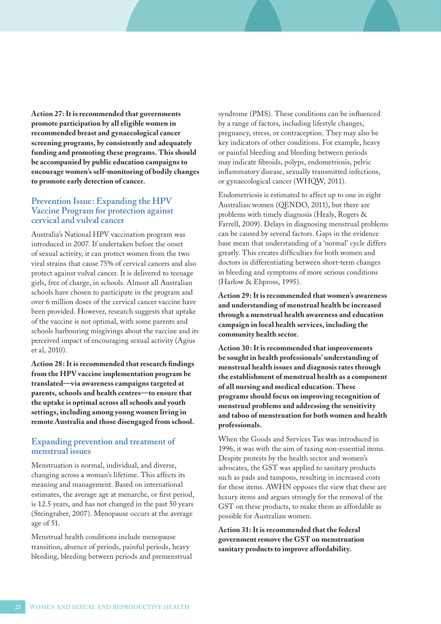<span id="page-21-0"></span>**Action 27: It is recommended that governments promote participation by all eligible women in recommended breast and gynaecological cancer screening programs, by consistently and adequately funding and promoting these programs. This should be accompanied by public education campaigns to encourage women's self-monitoring of bodily changes to promote early detection of cancer.**

#### **Prevention Issue: Expanding the HPV Vaccine Program for protection against cervical and vulval cancer**

Australia's National HPV vaccination program was introduced in 2007. If undertaken before the onset of sexual activity, it can protect women from the two viral strains that cause 75% of cervical cancers and also protect against vulval cancer. It is delivered to teenage girls, free of charge, in schools. Almost all Australian schools have chosen to participate in the program and over 6 million doses of the cervical cancer vaccine have been provided. However, research suggests that uptake of the vaccine is not optimal, with some parents and schools harbouring misgivings about the vaccine and its perceived impact of encouraging sexual activity (Agius et al, 2010).

**Action 28: It is recommended that research findings from the HPV vaccine implementation program be translated—via awareness campaigns targeted at parents, schools and health centres—to ensure that the uptake is optimal across all schools and youth settings, including among young women living in remote Australia and those disengaged from school.** 

#### **Expanding prevention and treatment of menstrual issues**

Menstruation is normal, individual, and diverse, changing across a woman's lifetime. This affects its meaning and management. Based on international estimates, the average age at menarche, or first period, is 12.5 years, and has not changed in the past 50 years (Steingraber, 2007). Menopause occurs at the average age of 51.

Menstrual health conditions include menopause transition, absence of periods, painful periods, heavy bleeding, bleeding between periods and premenstrual syndrome (PMS). These conditions can be influenced by a range of factors, including lifestyle changes, pregnancy, stress, or contraception. They may also be key indicators of other conditions. For example, heavy or painful bleeding and bleeding between periods may indicate fibroids, polyps, endometriosis, pelvic inflammatory disease, sexually transmitted infections, or gynaecological cancer (WHQW, 2011).

Endometriosis is estimated to affect up to one in eight Australian women (QENDO, 2011), but there are problems with timely diagnosis (Healy, Rogers & Farrell, 2009). Delays in diagnosing menstrual problems can be caused by several factors. Gaps in the evidence base mean that understanding of a 'normal' cycle differs greatly. This creates difficulties for both women and doctors in differentiating between short-term changes in bleeding and symptoms of more serious conditions (Harlow & Ehpross, 1995).

**Action 29: It is recommended that women's awareness and understanding of menstrual health be increased through a menstrual health awareness and education campaign in local health services, including the community health sector.** 

**Action 30: It is recommended that improvements be sought in health professionals' understanding of menstrual health issues and diagnosis rates through the establishment of menstrual health as a component of all nursing and medical education. These programs should focus on improving recognition of menstrual problems and addressing the sensitivity and taboo of menstruation for both women and health professionals.** 

When the Goods and Services Tax was introduced in 1996, it was with the aim of taxing non-essential items. Despite protests by the health sector and women's advocates, the GST was applied to sanitary products such as pads and tampons, resulting in increased costs for these items. AWHN opposes the view that these are luxury items and argues strongly for the removal of the GST on these products, to make them as affordable as possible for Australian women.

**Action 31: It is recommended that the federal government remove the GST on menstruation sanitary products to improve affordability.**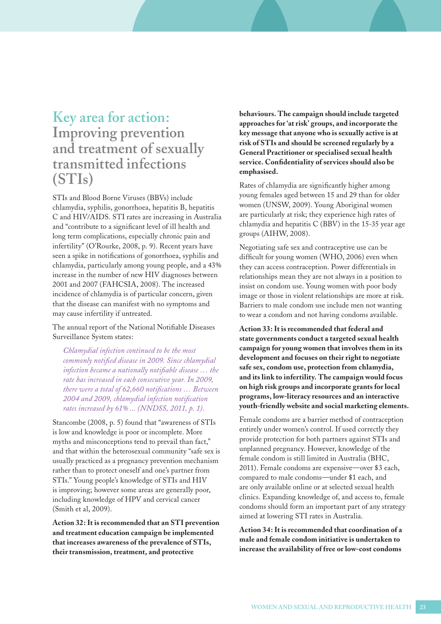### <span id="page-22-0"></span>**Key area for action: Improving prevention and treatment of sexually transmitted infections (STIs)**

STIs and Blood Borne Viruses (BBVs) include chlamydia, syphilis, gonorrhoea, hepatitis B, hepatitis C and HIV/AIDS. STI rates are increasing in Australia and "contribute to a significant level of ill health and long term complications, especially chronic pain and infertility" (O'Rourke, 2008, p. 9). Recent years have seen a spike in notifications of gonorrhoea, syphilis and chlamydia, particularly among young people, and a 43% increase in the number of new HIV diagnoses between 2001 and 2007 (FAHCSIA, 2008). The increased incidence of chlamydia is of particular concern, given that the disease can manifest with no symptoms and may cause infertility if untreated.

The annual report of the National Notifiable Diseases Surveillance System states:

*Chlamydial infection continued to be the most commonly notified disease in 2009. Since chlamydial infection became a nationally notifiable disease … the rate has increased in each consecutive year. In 2009, there were a total of 62,660 notifications … Between 2004 and 2009, chlamydial infection notification rates increased by 61% ... (NNDSS, 2011, p. 1).* 

Stancombe (2008, p. 5) found that "awareness of STIs is low and knowledge is poor or incomplete. More myths and misconceptions tend to prevail than fact," and that within the heterosexual community "safe sex is usually practiced as a pregnancy prevention mechanism rather than to protect oneself and one's partner from STIs." Young people's knowledge of STIs and HIV is improving; however some areas are generally poor, including knowledge of HPV and cervical cancer (Smith et al, 2009).

**Action 32: It is recommended that an STI prevention and treatment education campaign be implemented that increases awareness of the prevalence of STIs, their transmission, treatment, and protective** 

**behaviours. The campaign should include targeted approaches for 'at risk' groups, and incorporate the key message that anyone who is sexually active is at risk of STIs and should be screened regularly by a General Practitioner or specialised sexual health service. Confidentiality of services should also be emphasised.**

Rates of chlamydia are significantly higher among young females aged between 15 and 29 than for older women (UNSW, 2009). Young Aboriginal women are particularly at risk; they experience high rates of chlamydia and hepatitis C (BBV) in the 15-35 year age groups (AIHW, 2008).

Negotiating safe sex and contraceptive use can be difficult for young women (WHO, 2006) even when they can access contraception. Power differentials in relationships mean they are not always in a position to insist on condom use. Young women with poor body image or those in violent relationships are more at risk. Barriers to male condom use include men not wanting to wear a condom and not having condoms available.

**Action 33: It is recommended that federal and state governments conduct a targeted sexual health campaign for young women that involves them in its development and focuses on their right to negotiate safe sex, condom use, protection from chlamydia, and its link to infertility. The campaign would focus on high risk groups and incorporate grants for local programs, low-literacy resources and an interactive youth-friendly website and social marketing elements.** 

Female condoms are a barrier method of contraception entirely under women's control. If used correctly they provide protection for both partners against STIs and unplanned pregnancy. However, knowledge of the female condom is still limited in Australia (BHC, 2011). Female condoms are expensive—over \$3 each, compared to male condoms—under \$1 each, and are only available online or at selected sexual health clinics. Expanding knowledge of, and access to, female condoms should form an important part of any strategy aimed at lowering STI rates in Australia.

**Action 34: It is recommended that coordination of a male and female condom initiative is undertaken to increase the availability of free or low-cost condoms**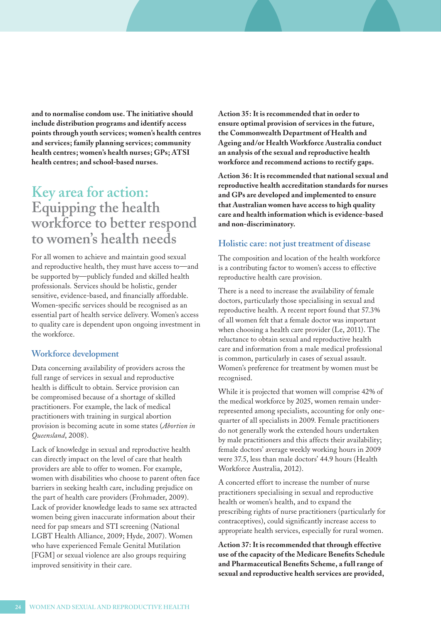<span id="page-23-0"></span>**and to normalise condom use. The initiative should include distribution programs and identify access points through youth services; women's health centres and services; family planning services; community health centres; women's health nurses; GPs; ATSI health centres; and school-based nurses.** 

### **Key area for action: Equipping the health workforce to better respond to women's health needs**

For all women to achieve and maintain good sexual and reproductive health, they must have access to—and be supported by—publicly funded and skilled health professionals. Services should be holistic, gender sensitive, evidence-based, and financially affordable. Women-specific services should be recognised as an essential part of health service delivery. Women's access to quality care is dependent upon ongoing investment in the workforce.

#### **Workforce development**

Data concerning availability of providers across the full range of services in sexual and reproductive health is difficult to obtain. Service provision can be compromised because of a shortage of skilled practitioners. For example, the lack of medical practitioners with training in surgical abortion provision is becoming acute in some states (*Abortion in Queensland*, 2008).

Lack of knowledge in sexual and reproductive health can directly impact on the level of care that health providers are able to offer to women. For example, women with disabilities who choose to parent often face barriers in seeking health care, including prejudice on the part of health care providers (Frohmader, 2009). Lack of provider knowledge leads to same sex attracted women being given inaccurate information about their need for pap smears and STI screening (National LGBT Health Alliance, 2009; Hyde, 2007). Women who have experienced Female Genital Mutilation [FGM] or sexual violence are also groups requiring improved sensitivity in their care.

**Action 35: It is recommended that in order to ensure optimal provision of services in the future, the Commonwealth Department of Health and Ageing and/or Health Workforce Australia conduct an analysis of the sexual and reproductive health workforce and recommend actions to rectify gaps.** 

**Action 36: It is recommended that national sexual and reproductive health accreditation standards for nurses and GPs are developed and implemented to ensure that Australian women have access to high quality care and health information which is evidence-based and non-discriminatory.** 

#### **Holistic care: not just treatment of disease**

The composition and location of the health workforce is a contributing factor to women's access to effective reproductive health care provision.

There is a need to increase the availability of female doctors, particularly those specialising in sexual and reproductive health. A recent report found that 57.3% of all women felt that a female doctor was important when choosing a health care provider (Le, 2011). The reluctance to obtain sexual and reproductive health care and information from a male medical professional is common, particularly in cases of sexual assault. Women's preference for treatment by women must be recognised.

While it is projected that women will comprise 42% of the medical workforce by 2025, women remain underrepresented among specialists, accounting for only onequarter of all specialists in 2009. Female practitioners do not generally work the extended hours undertaken by male practitioners and this affects their availability; female doctors' average weekly working hours in 2009 were 37.5, less than male doctors' 44.9 hours (Health Workforce Australia, 2012).

A concerted effort to increase the number of nurse practitioners specialising in sexual and reproductive health or women's health, and to expand the prescribing rights of nurse practitioners (particularly for contraceptives), could significantly increase access to appropriate health services, especially for rural women.

**Action 37: It is recommended that through effective use of the capacity of the Medicare Benefits Schedule and Pharmaceutical Benefits Scheme, a full range of sexual and reproductive health services are provided,**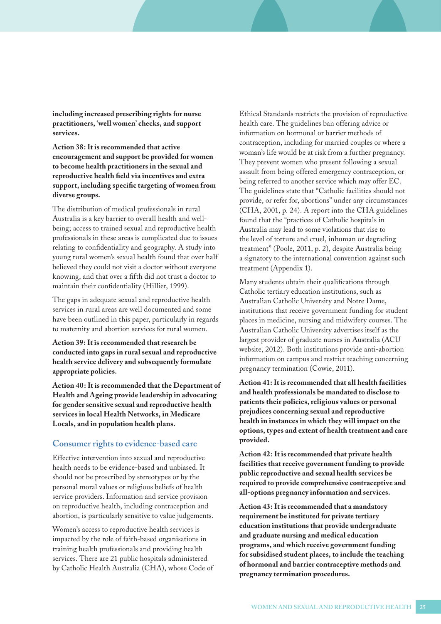<span id="page-24-0"></span>**including increased prescribing rights for nurse practitioners, 'well women' checks, and support services.** 

**Action 38: It is recommended that active encouragement and support be provided for women to become health practitioners in the sexual and reproductive health field via incentives and extra support, including specific targeting of women from diverse groups.** 

The distribution of medical professionals in rural Australia is a key barrier to overall health and wellbeing; access to trained sexual and reproductive health professionals in these areas is complicated due to issues relating to confidentiality and geography. A study into young rural women's sexual health found that over half believed they could not visit a doctor without everyone knowing, and that over a fifth did not trust a doctor to maintain their confidentiality (Hillier, 1999).

The gaps in adequate sexual and reproductive health services in rural areas are well documented and some have been outlined in this paper, particularly in regards to maternity and abortion services for rural women.

**Action 39: It is recommended that research be conducted into gaps in rural sexual and reproductive health service delivery and subsequently formulate appropriate policies.** 

**Action 40: It is recommended that the Department of Health and Ageing provide leadership in advocating for gender sensitive sexual and reproductive health services in local Health Networks, in Medicare Locals, and in population health plans.** 

#### **Consumer rights to evidence-based care**

Effective intervention into sexual and reproductive health needs to be evidence-based and unbiased. It should not be proscribed by stereotypes or by the personal moral values or religious beliefs of health service providers. Information and service provision on reproductive health, including contraception and abortion, is particularly sensitive to value judgements.

Women's access to reproductive health services is impacted by the role of faith-based organisations in training health professionals and providing health services. There are 21 public hospitals administered by Catholic Health Australia (CHA), whose Code of Ethical Standards restricts the provision of reproductive health care. The guidelines ban offering advice or information on hormonal or barrier methods of contraception, including for married couples or where a woman's life would be at risk from a further pregnancy. They prevent women who present following a sexual assault from being offered emergency contraception, or being referred to another service which may offer EC. The guidelines state that "Catholic facilities should not provide, or refer for, abortions" under any circumstances (CHA, 2001, p. 24). A report into the CHA guidelines found that the "practices of Catholic hospitals in Australia may lead to some violations that rise to the level of torture and cruel, inhuman or degrading treatment" (Poole, 2011, p. 2), despite Australia being a signatory to the international convention against such treatment (Appendix 1).

Many students obtain their qualifications through Catholic tertiary education institutions, such as Australian Catholic University and Notre Dame, institutions that receive government funding for student places in medicine, nursing and midwifery courses. The Australian Catholic University advertises itself as the largest provider of graduate nurses in Australia (ACU website, 2012). Both institutions provide anti-abortion information on campus and restrict teaching concerning pregnancy termination (Cowie, 2011).

**Action 41: It is recommended that all health facilities and health professionals be mandated to disclose to patients their policies, religious values or personal prejudices concerning sexual and reproductive health in instances in which they will impact on the options, types and extent of health treatment and care provided.** 

**Action 42: It is recommended that private health facilities that receive government funding to provide public reproductive and sexual health services be required to provide comprehensive contraceptive and all-options pregnancy information and services.** 

**Action 43: It is recommended that a mandatory requirement be instituted for private tertiary education institutions that provide undergraduate and graduate nursing and medical education programs, and which receive government funding for subsidised student places, to include the teaching of hormonal and barrier contraceptive methods and pregnancy termination procedures.**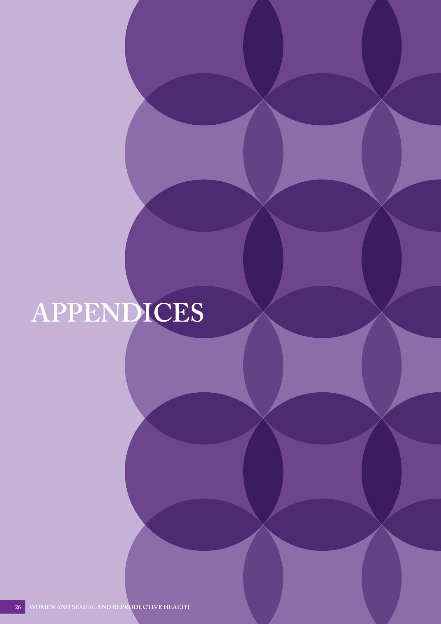# **APPENDICES**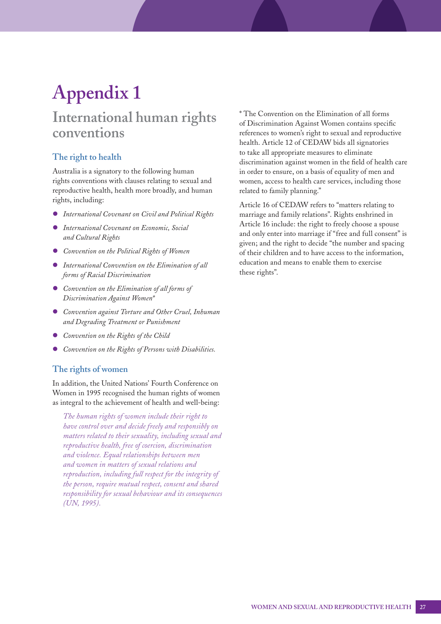### <span id="page-26-0"></span>**International human rights conventions Appendix 1**

#### **The right to health**

Australia is a signatory to the following human rights conventions with clauses relating to sexual and reproductive health, health more broadly, and human rights, including:

- **•** International Covenant on Civil and Political Rights
- **•** International Covenant on Economic, Social *and Cultural Rights*
- **•** Convention on the Political Rights of Women
- **•** International Convention on the Elimination of all *forms of Racial Discrimination*
- **•** Convention on the Elimination of all forms of *Discrimination Against Women\**
- **•** Convention against Torture and Other Cruel, Inhuman *and Degrading Treatment or Punishment*
- **•** Convention on the Rights of the Child
- z *Convention on the Rights of Persons with Disabilities.*

#### **The rights of women**

In addition, the United Nations' Fourth Conference on Women in 1995 recognised the human rights of women as integral to the achievement of health and well-being:

*The human rights of women include their right to have control over and decide freely and responsibly on matters related to their sexuality, including sexual and reproductive health, free of coercion, discrimination and violence. Equal relationships between men and women in matters of sexual relations and reproduction, including full respect for the integrity of the person, require mutual respect, consent and shared responsibility for sexual behaviour and its consequences (UN, 1995).* 

\* The Convention on the Elimination of all forms of Discrimination Against Women contains specific references to women's right to sexual and reproductive health. Article 12 of CEDAW bids all signatories to take all appropriate measures to eliminate discrimination against women in the field of health care in order to ensure, on a basis of equality of men and women, access to health care services, including those related to family planning."

Article 16 of CEDAW refers to "matters relating to marriage and family relations". Rights enshrined in Article 16 include: the right to freely choose a spouse and only enter into marriage if "free and full consent" is given; and the right to decide "the number and spacing of their children and to have access to the information, education and means to enable them to exercise these rights".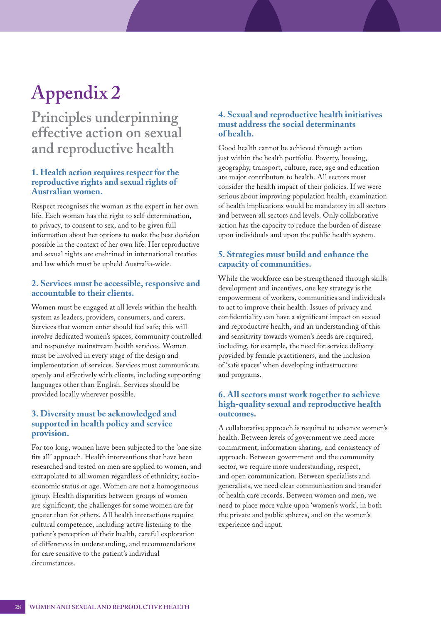## <span id="page-27-0"></span>**Appendix 2**

### **Principles underpinning effective action on sexual and reproductive health**

#### **1. Health action requires respect for the reproductive rights and sexual rights of Australian women.**

Respect recognises the woman as the expert in her own life. Each woman has the right to self-determination, to privacy, to consent to sex, and to be given full information about her options to make the best decision possible in the context of her own life. Her reproductive and sexual rights are enshrined in international treaties and law which must be upheld Australia-wide.

#### **2. Services must be accessible, responsive and accountable to their clients.**

Women must be engaged at all levels within the health system as leaders, providers, consumers, and carers. Services that women enter should feel safe; this will involve dedicated women's spaces, community controlled and responsive mainstream health services. Women must be involved in every stage of the design and implementation of services. Services must communicate openly and effectively with clients, including supporting languages other than English. Services should be provided locally wherever possible.

#### **3. Diversity must be acknowledged and supported in health policy and service provision.**

For too long, women have been subjected to the 'one size fits all' approach. Health interventions that have been researched and tested on men are applied to women, and extrapolated to all women regardless of ethnicity, socioeconomic status or age. Women are not a homogeneous group. Health disparities between groups of women are significant; the challenges for some women are far greater than for others. All health interactions require cultural competence, including active listening to the patient's perception of their health, careful exploration of differences in understanding, and recommendations for care sensitive to the patient's individual circumstances.

#### **4. Sexual and reproductive health initiatives must address the social determinants of health.**

Good health cannot be achieved through action just within the health portfolio. Poverty, housing, geography, transport, culture, race, age and education are major contributors to health. All sectors must consider the health impact of their policies. If we were serious about improving population health, examination of health implications would be mandatory in all sectors and between all sectors and levels. Only collaborative action has the capacity to reduce the burden of disease upon individuals and upon the public health system.

#### **5. Strategies must build and enhance the capacity of communities.**

While the workforce can be strengthened through skills development and incentives, one key strategy is the empowerment of workers, communities and individuals to act to improve their health. Issues of privacy and confidentiality can have a significant impact on sexual and reproductive health, and an understanding of this and sensitivity towards women's needs are required, including, for example, the need for service delivery provided by female practitioners, and the inclusion of 'safe spaces' when developing infrastructure and programs.

#### **6. All sectors must work together to achieve high-quality sexual and reproductive health outcomes.**

A collaborative approach is required to advance women's health. Between levels of government we need more commitment, information sharing, and consistency of approach. Between government and the community sector, we require more understanding, respect, and open communication. Between specialists and generalists, we need clear communication and transfer of health care records. Between women and men, we need to place more value upon 'women's work', in both the private and public spheres, and on the women's experience and input.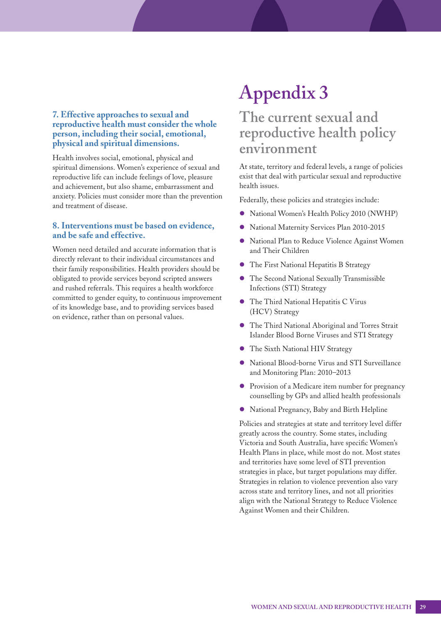#### <span id="page-28-0"></span>**7. Effective approaches to sexual and reproductive health must consider the whole person, including their social, emotional, physical and spiritual dimensions.**

Health involves social, emotional, physical and spiritual dimensions. Women's experience of sexual and reproductive life can include feelings of love, pleasure and achievement, but also shame, embarrassment and anxiety. Policies must consider more than the prevention and treatment of disease.

#### **8. Interventions must be based on evidence, and be safe and effective.**

Women need detailed and accurate information that is directly relevant to their individual circumstances and their family responsibilities. Health providers should be obligated to provide services beyond scripted answers and rushed referrals. This requires a health workforce committed to gender equity, to continuous improvement of its knowledge base, and to providing services based on evidence, rather than on personal values.

## **Appendix 3**

### **The current sexual and reproductive health policy environment**

At state, territory and federal levels, a range of policies exist that deal with particular sexual and reproductive health issues.

Federally, these policies and strategies include:

- National Women's Health Policy 2010 (NWHP)
- National Maternity Services Plan 2010-2015
- National Plan to Reduce Violence Against Women and Their Children
- The First National Hepatitis B Strategy
- **•** The Second National Sexually Transmissible Infections (STI) Strategy
- **•** The Third National Hepatitis C Virus (HCV) Strategy
- **•** The Third National Aboriginal and Torres Strait Islander Blood Borne Viruses and STI Strategy
- The Sixth National HIV Strategy
- National Blood-borne Virus and STI Surveillance and Monitoring Plan: 2010–2013
- Provision of a Medicare item number for pregnancy counselling by GPs and allied health professionals
- National Pregnancy, Baby and Birth Helpline

Policies and strategies at state and territory level differ greatly across the country. Some states, including Victoria and South Australia, have specific Women's Health Plans in place, while most do not. Most states and territories have some level of STI prevention strategies in place, but target populations may differ. Strategies in relation to violence prevention also vary across state and territory lines, and not all priorities align with the National Strategy to Reduce Violence Against Women and their Children.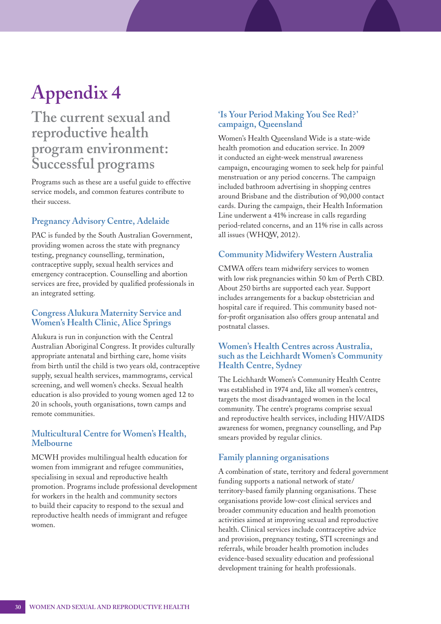## <span id="page-29-0"></span>**Appendix 4**

### **The current sexual and reproductive health program environment: Successful programs**

Programs such as these are a useful guide to effective service models, and common features contribute to their success.

#### **Pregnancy Advisory Centre, Adelaide**

PAC is funded by the South Australian Government, providing women across the state with pregnancy testing, pregnancy counselling, termination, contraceptive supply, sexual health services and emergency contraception. Counselling and abortion services are free, provided by qualified professionals in an integrated setting.

#### **Congress Alukura Maternity Service and Women's Health Clinic, Alice Springs**

Alukura is run in conjunction with the Central Australian Aboriginal Congress. It provides culturally appropriate antenatal and birthing care, home visits from birth until the child is two years old, contraceptive supply, sexual health services, mammograms, cervical screening, and well women's checks. Sexual health education is also provided to young women aged 12 to 20 in schools, youth organisations, town camps and remote communities.

#### **Multicultural Centre for Women's Health, Melbourne**

MCWH provides multilingual health education for women from immigrant and refugee communities, specialising in sexual and reproductive health promotion. Programs include professional development for workers in the health and community sectors to build their capacity to respond to the sexual and reproductive health needs of immigrant and refugee women.

#### **'Is Your Period Making You See Red?' campaign, Queensland**

Women's Health Queensland Wide is a state-wide health promotion and education service. In 2009 it conducted an eight-week menstrual awareness campaign, encouraging women to seek help for painful menstruation or any period concerns. The campaign included bathroom advertising in shopping centres around Brisbane and the distribution of 90,000 contact cards. During the campaign, their Health Information Line underwent a 41% increase in calls regarding period-related concerns, and an 11% rise in calls across all issues (WHQW, 2012).

#### **Community Midwifery Western Australia**

CMWA offers team midwifery services to women with low risk pregnancies within 50 km of Perth CBD. About 250 births are supported each year. Support includes arrangements for a backup obstetrician and hospital care if required. This community based notfor-profit organisation also offers group antenatal and postnatal classes.

#### **Women's Health Centres across Australia, such as the Leichhardt Women's Community Health Centre, Sydney**

The Leichhardt Women's Community Health Centre was established in 1974 and, like all women's centres, targets the most disadvantaged women in the local community. The centre's programs comprise sexual and reproductive health services, including HIV/AIDS awareness for women, pregnancy counselling, and Pap smears provided by regular clinics.

#### **Family planning organisations**

A combination of state, territory and federal government funding supports a national network of state/ territory-based family planning organisations. These organisations provide low-cost clinical services and broader community education and health promotion activities aimed at improving sexual and reproductive health. Clinical services include contraceptive advice and provision, pregnancy testing, STI screenings and referrals, while broader health promotion includes evidence-based sexuality education and professional development training for health professionals.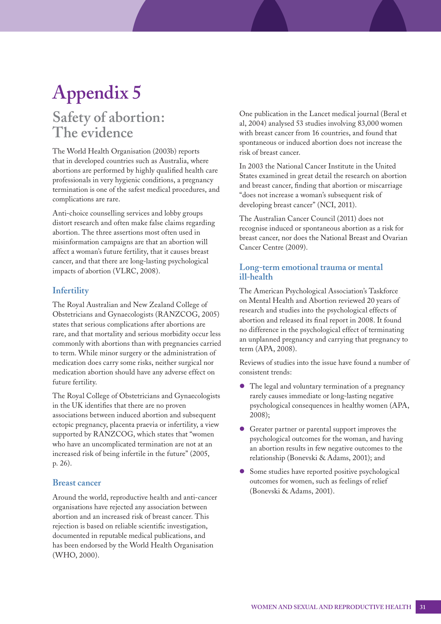## <span id="page-30-0"></span>**Appendix 5**

### **Safety of abortion: The evidence**

The World Health Organisation (2003b) reports that in developed countries such as Australia, where abortions are performed by highly qualified health care professionals in very hygienic conditions, a pregnancy termination is one of the safest medical procedures, and complications are rare.

Anti-choice counselling services and lobby groups distort research and often make false claims regarding abortion. The three assertions most often used in misinformation campaigns are that an abortion will affect a woman's future fertility, that it causes breast cancer, and that there are long-lasting psychological impacts of abortion (VLRC, 2008).

#### **Infertility**

The Royal Australian and New Zealand College of Obstetricians and Gynaecologists (RANZCOG, 2005) states that serious complications after abortions are rare, and that mortality and serious morbidity occur less commonly with abortions than with pregnancies carried to term. While minor surgery or the administration of medication does carry some risks, neither surgical nor medication abortion should have any adverse effect on future fertility.

The Royal College of Obstetricians and Gynaecologists in the UK identifies that there are no proven associations between induced abortion and subsequent ectopic pregnancy, placenta praevia or infertility, a view supported by RANZCOG, which states that "women who have an uncomplicated termination are not at an increased risk of being infertile in the future" (2005, p. 26).

#### **Breast cancer**

Around the world, reproductive health and anti-cancer organisations have rejected any association between abortion and an increased risk of breast cancer. This rejection is based on reliable scientific investigation, documented in reputable medical publications, and has been endorsed by the World Health Organisation (WHO, 2000).

One publication in the Lancet medical journal (Beral et al, 2004) analysed 53 studies involving 83,000 women with breast cancer from 16 countries, and found that spontaneous or induced abortion does not increase the risk of breast cancer.

In 2003 the National Cancer Institute in the United States examined in great detail the research on abortion and breast cancer, finding that abortion or miscarriage "does not increase a woman's subsequent risk of developing breast cancer" (NCI, 2011).

The Australian Cancer Council (2011) does not recognise induced or spontaneous abortion as a risk for breast cancer, nor does the National Breast and Ovarian Cancer Centre (2009).

#### **Long-term emotional trauma or mental ill-health**

The American Psychological Association's Taskforce on Mental Health and Abortion reviewed 20 years of research and studies into the psychological effects of abortion and released its final report in 2008. It found no difference in the psychological effect of terminating an unplanned pregnancy and carrying that pregnancy to term (APA, 2008).

Reviews of studies into the issue have found a number of consistent trends:

- The legal and voluntary termination of a pregnancy rarely causes immediate or long-lasting negative psychological consequences in healthy women (APA, 2008);
- Greater partner or parental support improves the psychological outcomes for the woman, and having an abortion results in few negative outcomes to the relationship (Bonevski & Adams, 2001); and
- $\bullet$  Some studies have reported positive psychological outcomes for women, such as feelings of relief (Bonevski & Adams, 2001).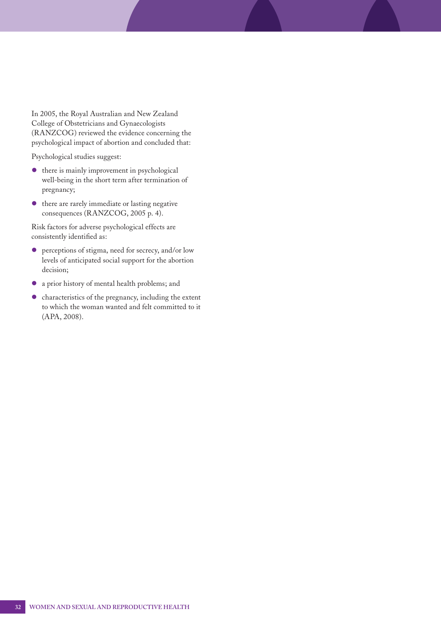In 2005, the Royal Australian and New Zealand College of Obstetricians and Gynaecologists (RANZCOG) reviewed the evidence concerning the psychological impact of abortion and concluded that:

Psychological studies suggest:

- $\bullet$  there is mainly improvement in psychological well-being in the short term after termination of pregnancy;
- $\bullet$  there are rarely immediate or lasting negative consequences (RANZCOG, 2005 p. 4).

Risk factors for adverse psychological effects are consistently identified as:

- $\bullet$  perceptions of stigma, need for secrecy, and/or low levels of anticipated social support for the abortion decision;
- $\bullet$  a prior history of mental health problems; and
- $\bullet$  characteristics of the pregnancy, including the extent to which the woman wanted and felt committed to it (APA, 2008).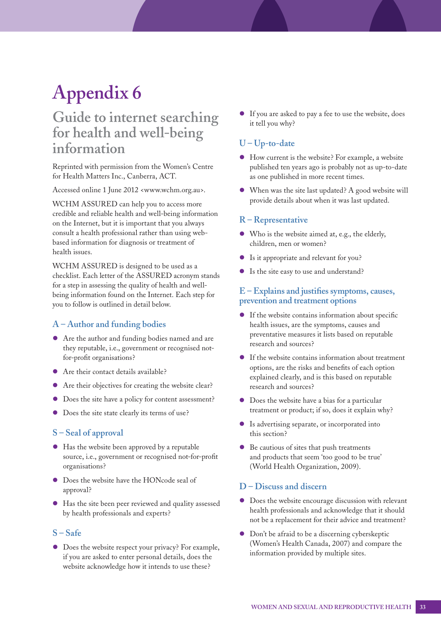## <span id="page-32-0"></span>**Appendix 6**

### **Guide to internet searching for health and well-being information**

Reprinted with permission from the Women's Centre for Health Matters Inc., Canberra, ACT.

Accessed online 1 June 2012 <[www.wchm.org.au](http://www.wchm.org.au)>.

WCHM ASSURED can help you to access more credible and reliable health and well-being information on the Internet, but it is important that you always consult a health professional rather than using webbased information for diagnosis or treatment of health issues.

WCHM ASSURED is designed to be used as a checklist. Each letter of the ASSURED acronym stands for a step in assessing the quality of health and wellbeing information found on the Internet. Each step for you to follow is outlined in detail below.

#### **A – Author and funding bodies**

- Are the author and funding bodies named and are they reputable, i.e., government or recognised notfor-profit organisations?
- Are their contact details available?
- Are their objectives for creating the website clear?
- $\bullet$  Does the site have a policy for content assessment?
- $\bullet$  Does the site state clearly its terms of use?

#### **S – Seal of approval**

- $\bullet$  Has the website been approved by a reputable source, i.e., government or recognised not-for-profit organisations?
- $\bullet$  Does the website have the HONcode seal of approval?
- $\bullet$  Has the site been peer reviewed and quality assessed by health professionals and experts?

#### **S – Safe**

 $\bullet$  Does the website respect your privacy? For example, if you are asked to enter personal details, does the website acknowledge how it intends to use these?

z If you are asked to pay a fee to use the website, does it tell you why?

#### **U – Up-to-date**

- z How current is the website? For example, a website published ten years ago is probably not as up-to-date as one published in more recent times.
- $\bullet$  When was the site last updated? A good website will provide details about when it was last updated.

#### **R – Representative**

- $\bullet$  Who is the website aimed at, e.g., the elderly, children, men or women?
- $\bullet$  Is it appropriate and relevant for you?
- Is the site easy to use and understand?

#### **E – Explains and justifies symptoms, causes, prevention and treatment options**

- $\bullet$  If the website contains information about specific health issues, are the symptoms, causes and preventative measures it lists based on reputable research and sources?
- **•** If the website contains information about treatment options, are the risks and benefits of each option explained clearly, and is this based on reputable research and sources?
- $\bullet$  Does the website have a bias for a particular treatment or product; if so, does it explain why?
- Is advertising separate, or incorporated into this section?
- $\bullet$  Be cautious of sites that push treatments and products that seem 'too good to be true' (World Health Organization, 2009).

#### **D – Discuss and discern**

- $\bullet$  Does the website encourage discussion with relevant health professionals and acknowledge that it should not be a replacement for their advice and treatment?
- Don't be afraid to be a discerning cyberskeptic (Women's Health Canada, 2007) and compare the information provided by multiple sites.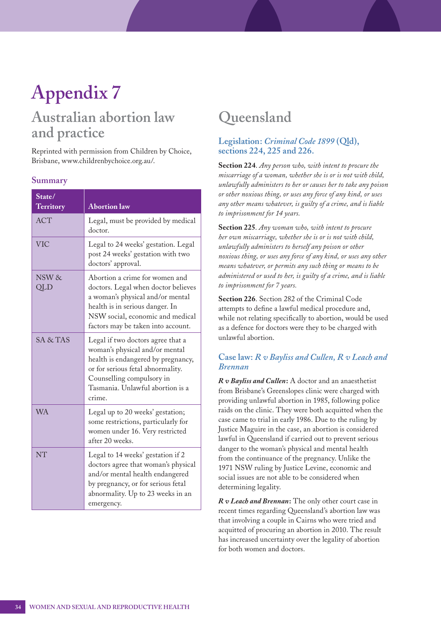## <span id="page-33-0"></span>**Appendix 7**

### **Australian abortion law and practice**

Reprinted with permission from Children by Choice, Brisbane, [www.childrenbychoice.org.au/.](http://www.childrenbychoice.org.au/)

#### **Summary**

| State/<br>Territory | <b>Abortion law</b>                                                                                                                                                                                                       |
|---------------------|---------------------------------------------------------------------------------------------------------------------------------------------------------------------------------------------------------------------------|
| <b>ACT</b>          | Legal, must be provided by medical<br>doctor.                                                                                                                                                                             |
| <b>VIC</b>          | Legal to 24 weeks' gestation. Legal<br>post 24 weeks' gestation with two<br>doctors' approval.                                                                                                                            |
| NSW &<br>QLD        | Abortion a crime for women and<br>doctors. Legal when doctor believes<br>a woman's physical and/or mental<br>health is in serious danger. In<br>NSW social, economic and medical<br>factors may be taken into account.    |
| SA & TAS            | Legal if two doctors agree that a<br>woman's physical and/or mental<br>health is endangered by pregnancy,<br>or for serious fetal abnormality.<br>Counselling compulsory in<br>Tasmania. Unlawful abortion is a<br>crime. |
| <b>WA</b>           | Legal up to 20 weeks' gestation;<br>some restrictions, particularly for<br>women under 16. Very restricted<br>after 20 weeks.                                                                                             |
| NT                  | Legal to 14 weeks' gestation if 2<br>doctors agree that woman's physical<br>and/or mental health endangered<br>by pregnancy, or for serious fetal<br>abnormality. Up to 23 weeks in an<br>emergency.                      |

### **Queensland**

#### **Legislation:** *Criminal Code 1899* **(Qld), sections 224, 225 and 226.**

**Section 224**. *Any person who, with intent to procure the miscarriage of a woman, whether she is or is not with child, unlawfully administers to her or causes her to take any poison or other noxious thing, or uses any force of any kind, or uses any other means whatever, is guilty of a crime, and is liable to imprisonment for 14 years.*

**Section 225**. *Any woman who, with intent to procure her own miscarriage, whether she is or is not with child, unlawfully administers to herself any poison or other noxious thing, or uses any force of any kind, or uses any other means whatever, or permits any such thing or means to be administered or used to her, is guilty of a crime, and is liable to imprisonment for 7 years.*

**Section 226**. Section 282 of the Criminal Code attempts to define a lawful medical procedure and, while not relating specifically to abortion, would be used as a defence for doctors were they to be charged with unlawful abortion.

#### **Case law:** *R v Bayliss and Cullen, R v Leach and Brennan*

*R v Bayliss and Cullen***:** A doctor and an anaesthetist from Brisbane's Greenslopes clinic were charged with providing unlawful abortion in 1985, following police raids on the clinic. They were both acquitted when the case came to trial in early 1986. Due to the ruling by Justice Maguire in the case, an abortion is considered lawful in Queensland if carried out to prevent serious danger to the woman's physical and mental health from the continuance of the pregnancy. Unlike the 1971 NSW ruling by Justice Levine, economic and social issues are not able to be considered when determining legality.

*R v Leach and Brennan***:** The only other court case in recent times regarding Queensland's abortion law was that involving a couple in Cairns who were tried and acquitted of procuring an abortion in 2010. The result has increased uncertainty over the legality of abortion for both women and doctors.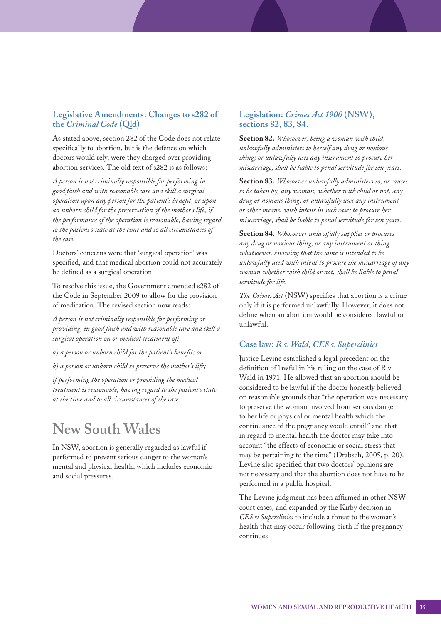#### **Legislative Amendments: Changes to s282 of the** *Criminal Code* **(Qld)**

As stated above, section 282 of the Code does not relate specifically to abortion, but is the defence on which doctors would rely, were they charged over providing abortion services. The old text of s282 is as follows:

*A person is not criminally responsible for performing in good faith and with reasonable care and skill a surgical operation upon any person for the patient's benefit, or upon an unborn child for the preservation of the mother's life, if the performance of the operation is reasonable, having regard to the patient's state at the time and to all circumstances of the case.*

Doctors' concerns were that 'surgical operation' was specified, and that medical abortion could not accurately be defined as a surgical operation.

To resolve this issue, the Government amended s282 of the Code in September 2009 to allow for the provision of medication. The revised section now reads:

*A person is not criminally responsible for performing or providing, in good faith and with reasonable care and skill a surgical operation on or medical treatment of:*

*a) a person or unborn child for the patient's benefit; or*

*b) a person or unborn child to preserve the mother's life;*

*if performing the operation or providing the medical treatment is reasonable, having regard to the patient's state at the time and to all circumstances of the case.*

### **New South Wales**

In NSW, abortion is generally regarded as lawful if performed to prevent serious danger to the woman's mental and physical health, which includes economic and social pressures.

#### **Legislation:** *Crimes Act 1900* **(NSW), sections 82, 83, 84.**

**Section 82.** *Whosoever, being a woman with child, unlawfully administers to herself any drug or noxious thing; or unlawfully uses any instrument to procure her miscarriage, shall be liable to penal servitude for ten years.*

**Section 83.** *Whosoever unlawfully administers to, or causes to be taken by, any woman, whether with child or not, any drug or noxious thing; or unlawfully uses any instrument or other means, with intent in such cases to procure her miscarriage, shall be liable to penal servitude for ten years.*

**Section 84.** *Whosoever unlawfully supplies or procures any drug or noxious thing, or any instrument or thing whatsoever, knowing that the same is intended to be unlawfully used with intent to procure the miscarriage of any woman whether with child or not, shall be liable to penal servitude for life.*

*The Crimes Act* (NSW) specifies that abortion is a crime only if it is performed unlawfully. However, it does not define when an abortion would be considered lawful or unlawful.

#### **Case law:** *R v Wald, CES v Superclinics*

Justice Levine established a legal precedent on the definition of lawful in his ruling on the case of R v Wald in 1971. He allowed that an abortion should be considered to be lawful if the doctor honestly believed on reasonable grounds that "the operation was necessary to preserve the woman involved from serious danger to her life or physical or mental health which the continuance of the pregnancy would entail" and that in regard to mental health the doctor may take into account "the effects of economic or social stress that may be pertaining to the time" (Drabsch, 2005, p. 20). Levine also specified that two doctors' opinions are not necessary and that the abortion does not have to be performed in a public hospital.

The Levine judgment has been affirmed in other NSW court cases, and expanded by the Kirby decision in *CES v Superclinics* to include a threat to the woman's health that may occur following birth if the pregnancy continues.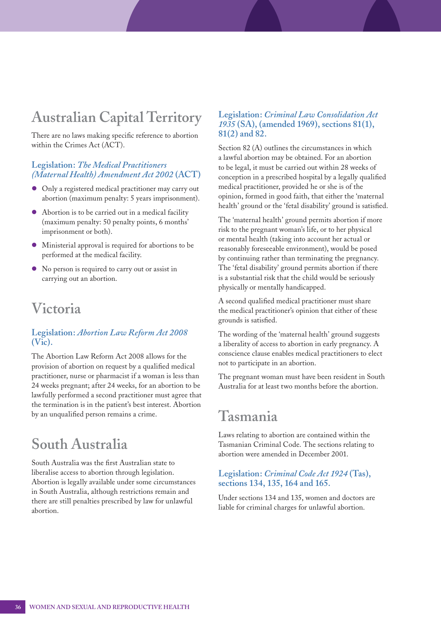### **Australian Capital Territory**

There are no laws making specific reference to abortion within the Crimes Act (ACT).

#### **Legislation:** *The Medical Practitioners (Maternal Health) Amendment Act 2002* **(ACT)**

- $\bullet$  Only a registered medical practitioner may carry out abortion (maximum penalty: 5 years imprisonment).
- $\bullet$  Abortion is to be carried out in a medical facility (maximum penalty: 50 penalty points, 6 months' imprisonment or both).
- $\bullet$  Ministerial approval is required for abortions to be performed at the medical facility.
- No person is required to carry out or assist in carrying out an abortion.

### **Victoria**

#### **Legislation:** *Abortion Law Reform Act 2008* **(Vic).**

The Abortion Law Reform Act 2008 allows for the provision of abortion on request by a qualified medical practitioner, nurse or pharmacist if a woman is less than 24 weeks pregnant; after 24 weeks, for an abortion to be lawfully performed a second practitioner must agree that the termination is in the patient's best interest. Abortion by an unqualified person remains a crime.

### **South Australia**

South Australia was the first Australian state to liberalise access to abortion through legislation. Abortion is legally available under some circumstances in South Australia, although restrictions remain and there are still penalties prescribed by law for unlawful abortion.

#### **Legislation:** *Criminal Law Consolidation Act 1935* **(SA), (amended 1969), sections 81(1), 81(2) and 82.**

Section 82 (A) outlines the circumstances in which a lawful abortion may be obtained. For an abortion to be legal, it must be carried out within 28 weeks of conception in a prescribed hospital by a legally qualified medical practitioner, provided he or she is of the opinion, formed in good faith, that either the 'maternal health' ground or the 'fetal disability' ground is satisfied.

The 'maternal health' ground permits abortion if more risk to the pregnant woman's life, or to her physical or mental health (taking into account her actual or reasonably foreseeable environment), would be posed by continuing rather than terminating the pregnancy. The 'fetal disability' ground permits abortion if there is a substantial risk that the child would be seriously physically or mentally handicapped.

A second qualified medical practitioner must share the medical practitioner's opinion that either of these grounds is satisfied.

The wording of the 'maternal health' ground suggests a liberality of access to abortion in early pregnancy. A conscience clause enables medical practitioners to elect not to participate in an abortion.

The pregnant woman must have been resident in South Australia for at least two months before the abortion.

### **Tasmania**

Laws relating to abortion are contained within the Tasmanian Criminal Code. The sections relating to abortion were amended in December 2001.

#### **Legislation:** *Criminal Code Act 1924* **(Tas), sections 134, 135, 164 and 165.**

Under sections 134 and 135, women and doctors are liable for criminal charges for unlawful abortion.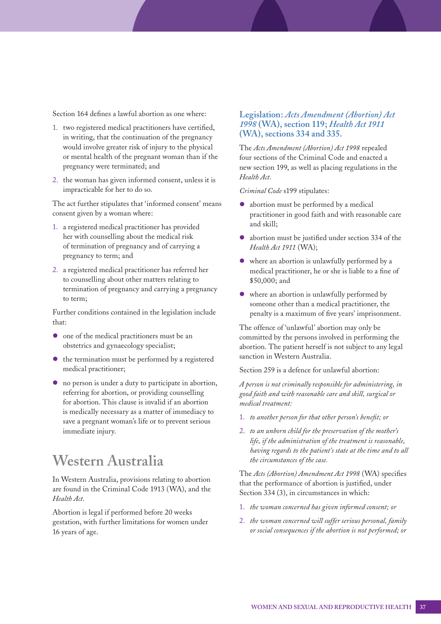Section 164 defines a lawful abortion as one where:

- 1. two registered medical practitioners have certified, in writing, that the continuation of the pregnancy would involve greater risk of injury to the physical or mental health of the pregnant woman than if the pregnancy were terminated; and
- 2. the woman has given informed consent, unless it is impracticable for her to do so.

The act further stipulates that 'informed consent' means consent given by a woman where:

- 1. a registered medical practitioner has provided her with counselling about the medical risk of termination of pregnancy and of carrying a pregnancy to term; and
- 2. a registered medical practitioner has referred her to counselling about other matters relating to termination of pregnancy and carrying a pregnancy to term;

Further conditions contained in the legislation include that:

- $\bullet$  one of the medical practitioners must be an obstetrics and gynaecology specialist;
- $\bullet$  the termination must be performed by a registered medical practitioner;
- $\bullet$  no person is under a duty to participate in abortion, referring for abortion, or providing counselling for abortion. This clause is invalid if an abortion is medically necessary as a matter of immediacy to save a pregnant woman's life or to prevent serious immediate injury.

### **Western Australia**

In Western Australia, provisions relating to abortion are found in the Criminal Code 1913 (WA), and the *Health Act*.

Abortion is legal if performed before 20 weeks gestation, with further limitations for women under 16 years of age.

#### **Legislation:** *Acts Amendment (Abortion) Act 1998* **(WA), section 119;** *Health Act 1911* **(WA), sections 334 and 335.**

The *Acts Amendment (Abortion) Act 1998* repealed four sections of the Criminal Code and enacted a new section 199, as well as placing regulations in the *Health Act*.

*Criminal Code* s199 stipulates:

- $\bullet$  abortion must be performed by a medical practitioner in good faith and with reasonable care and skill;
- $\bullet$  abortion must be justified under section 334 of the *Health Act 1911* (WA);
- $\bullet$  where an abortion is unlawfully performed by a medical practitioner, he or she is liable to a fine of \$50,000; and
- where an abortion is unlawfully performed by someone other than a medical practitioner, the penalty is a maximum of five years' imprisonment.

The offence of 'unlawful' abortion may only be committed by the persons involved in performing the abortion. The patient herself is not subject to any legal sanction in Western Australia.

Section 259 is a defence for unlawful abortion:

*A person is not criminally responsible for administering, in good faith and with reasonable care and skill, surgical or medical treatment:*

- 1. *to another person for that other person's benefit; or*
- 2. *to an unborn child for the preservation of the mother's life, if the administration of the treatment is reasonable, having regards to the patient's state at the time and to all the circumstances of the case.*

The *Acts (Abortion) Amendment Act 1998* (WA) specifies that the performance of abortion is justified, under Section 334 (3), in circumstances in which:

- 1. *the woman concerned has given informed consent; or*
- 2. *the woman concerned will suffer serious personal, family or social consequences if the abortion is not performed; or*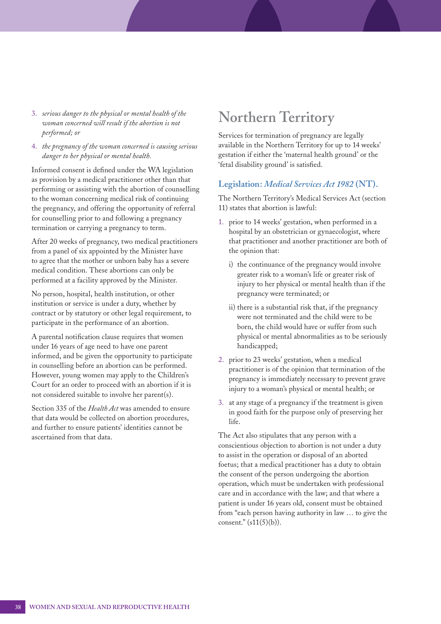- 3. *serious danger to the physical or mental health of the woman concerned will result if the abortion is not performed; or*
- 4. *the pregnancy of the woman concerned is causing serious danger to her physical or mental health.*

Informed consent is defined under the WA legislation as provision by a medical practitioner other than that performing or assisting with the abortion of counselling to the woman concerning medical risk of continuing the pregnancy, and offering the opportunity of referral for counselling prior to and following a pregnancy termination or carrying a pregnancy to term.

After 20 weeks of pregnancy, two medical practitioners from a panel of six appointed by the Minister have to agree that the mother or unborn baby has a severe medical condition. These abortions can only be performed at a facility approved by the Minister.

No person, hospital, health institution, or other institution or service is under a duty, whether by contract or by statutory or other legal requirement, to participate in the performance of an abortion.

A parental notification clause requires that women under 16 years of age need to have one parent informed, and be given the opportunity to participate in counselling before an abortion can be performed. However, young women may apply to the Children's Court for an order to proceed with an abortion if it is not considered suitable to involve her parent(s).

Section 335 of the *Health Act* was amended to ensure that data would be collected on abortion procedures, and further to ensure patients' identities cannot be ascertained from that data.

### **Northern Territory**

Services for termination of pregnancy are legally available in the Northern Territory for up to 14 weeks' gestation if either the 'maternal health ground' or the 'fetal disability ground' is satisfied.

#### **Legislation:** *Medical Services Act 1982* **(NT).**

The Northern Territory's Medical Services Act (section 11) states that abortion is lawful:

- 1. prior to 14 weeks' gestation, when performed in a hospital by an obstetrician or gynaecologist, where that practitioner and another practitioner are both of the opinion that:
	- i) the continuance of the pregnancy would involve greater risk to a woman's life or greater risk of injury to her physical or mental health than if the pregnancy were terminated; or
	- ii) there is a substantial risk that, if the pregnancy were not terminated and the child were to be born, the child would have or suffer from such physical or mental abnormalities as to be seriously handicapped;
- 2. prior to 23 weeks' gestation, when a medical practitioner is of the opinion that termination of the pregnancy is immediately necessary to prevent grave injury to a woman's physical or mental health; or
- 3. at any stage of a pregnancy if the treatment is given in good faith for the purpose only of preserving her life.

The Act also stipulates that any person with a conscientious objection to abortion is not under a duty to assist in the operation or disposal of an aborted foetus; that a medical practitioner has a duty to obtain the consent of the person undergoing the abortion operation, which must be undertaken with professional care and in accordance with the law; and that where a patient is under 16 years old, consent must be obtained from "each person having authority in law … to give the consent." (s11(5)(b)).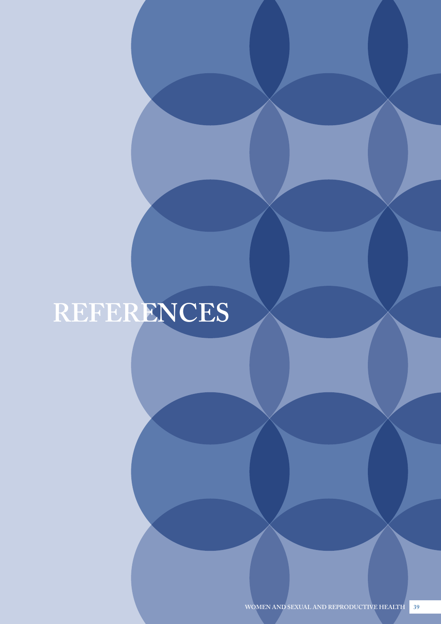# <span id="page-38-0"></span>**REFERENCES**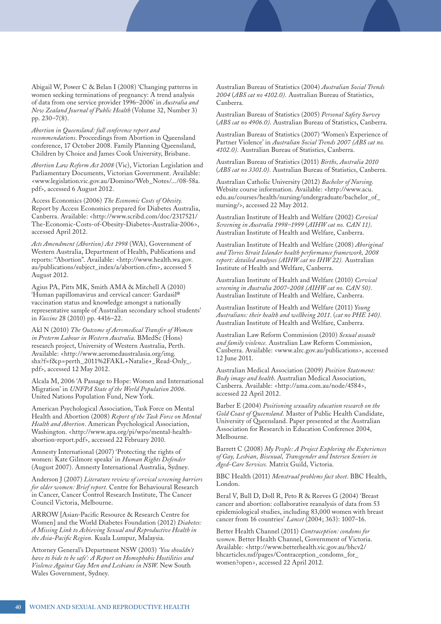Abigail W, Power C & Belan I (2008) 'Changing patterns in women seeking terminations of pregnancy: A trend analysis of data from one service provider 1996–2006' in *Australia and New Zealand Journal of Public Health* (Volume 32, Number 3) pp. 230–7(8).

*Abortion in Queensland: full conference report and recommendations*. Proceedings from Abortion in Queensland conference, 17 October 2008. Family Planning Queensland, Children by Choice and James Cook University, Brisbane.

*Abortion Law Reform Act 2008* (Vic), Victorian Legislation and Parliamentary Documents, Victorian Government. Available: [<www.legislation.vic.gov.au/Domino/Web\\_Notes/.../08-58a.](http://www.legislation.vic.gov.au/Domino/Web_Notes/.../08-58a.pdf) [pdf](http://www.legislation.vic.gov.au/Domino/Web_Notes/.../08-58a.pdf)>, accessed 6 August 2012.

Access Economics (2006) *The Economic Costs of Obesity.* Report by Access Economics prepared for Diabetes Australia, Canberra. Available: <[http://www.scribd.com/doc/2317521/](http://www.scribd.com/doc/2317521/The-Economic-Costs-of-Obesity-Diabetes-Australia-2006) [The-Economic-Costs-of-Obesity-Diabetes-Australia-2006](http://www.scribd.com/doc/2317521/The-Economic-Costs-of-Obesity-Diabetes-Australia-2006)>, accessed April 2012.

*Acts Amendment (Abortion) Act 1998* (WA), Government of Western Australia, Department of Health, Publications and reports: "Abortion". Available: [<http://www.health.wa.gov.](http://www.health.wa.gov.au/publications/subject_index/a/abortion.cfm) [au/publications/subject\\_index/a/abortion.cfm](http://www.health.wa.gov.au/publications/subject_index/a/abortion.cfm)>, accessed 5 August 2012.

Agius PA, Pitts MK, Smith AMA & Mitchell A (2010) 'Human papillomavirus and cervical cancer: Gardasil® vaccination status and knowledge amongst a nationally representative sample of Australian secondary school students' in *Vaccine* 28 (2010) pp. 4416–22.

Akl N (2010) *The Outcome of Aeromedical Transfer of Women in Preterm Labour in Western Australia.* BMedSc (Hons) research project, University of Western Australia, Perth. Available: [<http://www.aeromedaustralasia.org/img.](http://www.aeromedaustralasia.org/img.ashx?f=f&p=perth_2011%2FAKL+Natalie+_Read-Only_.pdf) [shx?f=f&p=perth\\_2011%2FAKL+Natalie+\\_Read-Only\\_.](http://www.aeromedaustralasia.org/img.ashx?f=f&p=perth_2011%2FAKL+Natalie+_Read-Only_.pdf) [pdf](http://www.aeromedaustralasia.org/img.ashx?f=f&p=perth_2011%2FAKL+Natalie+_Read-Only_.pdf)>, accessed 12 May 2012.

Alcala M, 2006 'A Passage to Hope: Women and International Migration' in *UNFPA State of the World Population 2006*. United Nations Population Fund, New York.

American Psychological Association, Task Force on Mental Health and Abortion (2008) *Report of the Task Force on Mental Health and Abortion*. American Psychological Association, Washington. [<http://www.apa.org/pi/wpo/mental-health](http://www.apa.org/pi/wpo/mental-health-abortion-report.pdf)[abortion-report.pdf>](http://www.apa.org/pi/wpo/mental-health-abortion-report.pdf), accessed 22 February 2010.

Amnesty International (2007) 'Protecting the rights of women: Kate Gilmore speaks' in *Human Rights Defender*  (August 2007). Amnesty International Australia, Sydney.

Anderson J (2007) *Literature review of cervical screening barriers for older women: Brief report.* Centre for Behavioural Research in Cancer, Cancer Control Research Institute, The Cancer Council Victoria, Melbourne.

ARROW [Asian-Pacific Resource & Research Centre for Women] and the World Diabetes Foundation (2012) *Diabetes: A Missing Link to Achieving Sexual and Reproductive Health in the Asia-Pacific Region.* Kuala Lumpur, Malaysia.

Attorney General's Department NSW (2003) *'You shouldn't have to hide to be safe': A Report on Homophobic Hostilities and Violence Against Gay Men and Lesbians in NSW.* New South Wales Government, Sydney.

Australian Bureau of Statistics (2004) *Australian Social Trends 2004* (*ABS cat no 4102.0).* Australian Bureau of Statistics, Canberra.

Australian Bureau of Statistics (2005) *Personal Safety Survey* (*ABS cat no 4906.0)*. Australian Bureau of Statistics, Canberra.

Australian Bureau of Statistics (2007) 'Women's Experience of Partner Violence' in *Australian Social Trends 2007 (ABS cat no. 4102.0).* Australian Bureau of Statistics, Canberra.

Australian Bureau of Statistics (2011) *Births, Australia 2010* (*ABS cat no 3301.0).* Australian Bureau of Statistics, Canberra.

Australian Catholic University (2012) *Bachelor of Nursing*. Website course information. Available: [<http://www.acu.](http://www.acu.edu.au/courses/health/nursing/undergraduate/bachelor_of_nursing/) [edu.au/courses/health/nursing/undergraduate/bachelor\\_of\\_](http://www.acu.edu.au/courses/health/nursing/undergraduate/bachelor_of_nursing/) [nursing/](http://www.acu.edu.au/courses/health/nursing/undergraduate/bachelor_of_nursing/)>, accessed 22 May 2012.

Australian Institute of Health and Welfare (2002) *Cervical Screening in Australia 1998–1999* (*AIHW cat no. CAN 11)*. Australian Institute of Health and Welfare, Canberra.

Australian Institute of Health and Welfare (2008) *Aboriginal and Torres Strait Islander health performance framework, 2008 report: detailed analyses (AIHW cat no IHW 22).* Australian Institute of Health and Welfare, Canberra.

Australian Institute of Health and Welfare (2010) *Cervical screening in Australia 2007–2008 (AIHW cat no. CAN 50)*. Australian Institute of Health and Welfare, Canberra.

Australian Institute of Health and Welfare (2011) *Young Australians: their health and wellbeing 2011*. (*cat no PHE 140).* Australian Institute of Health and Welfare, Canberra.

Australian Law Reform Commission (2010) *Sexual assault and family violence.* Australian Law Reform Commission, Canberra. Available: [<www.alrc.gov.au/publications](http://www.alrc.gov.au/publications)>, accessed 12 June 2011.

Australian Medical Association (2009) *Position Statement: Body image and health*. Australian Medical Association, Canberra. Available: <http://ama.com.au/node/4584>, accessed 22 April 2012.

Barber E (2004) *Positioning sexuality education research on the Gold Coast of Queensland.* Master of Public Health Candidate, University of Queensland. Paper presented at the Australian Association for Research in Education Conference 2004, Melbourne.

Barrett C (2008) *My People: A Project Exploring the Experiences of Gay, Lesbian, Bisexual, Transgender and Intersex Seniors in Aged-Care Services.* Matrix Guild, Victoria.

BBC Health (2011) *Menstrual problems fact sheet*. BBC Health, London.

Beral V, Bull D, Doll R, Peto R & Reeves G (2004) 'Breast cancer and abortion: collaborative reanalysis of data from 53 epidemiological studies, including 83,000 women with breast cancer from 16 countries' *Lancet* (2004; 363): 1007–16.

Better Health Channel (2011) *Contraception: condoms for women.* Better Health Channel, Government of Victoria. Available: <[http://www.betterhealth.vic.gov.au/bhcv2/](http://www.betterhealth.vic.gov.au/bhcv2/bhcarticles.nsf/pages/Contraception_condoms_for_women?open) [bhcarticles.nsf/pages/Contraception\\_condoms\\_for\\_](http://www.betterhealth.vic.gov.au/bhcv2/bhcarticles.nsf/pages/Contraception_condoms_for_women?open) [women?open>](http://www.betterhealth.vic.gov.au/bhcv2/bhcarticles.nsf/pages/Contraception_condoms_for_women?open), accessed 22 April 2012.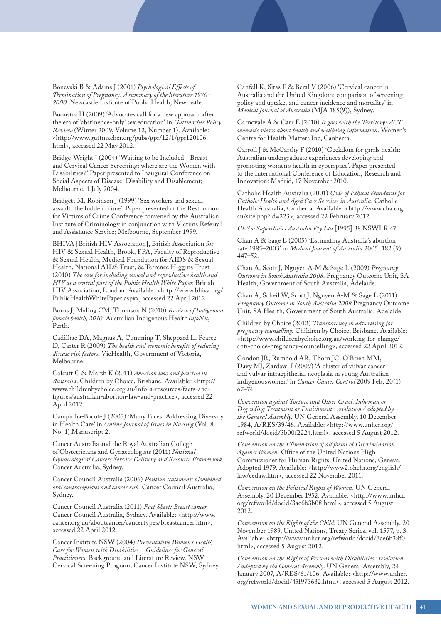Bonevski B & Adams J (2001) *Psychological Effects of Termination of Pregnancy: A summary of the literature 1970– 2000.* Newcastle Institute of Public Health, Newcastle.

Boonstra H (2009) 'Advocates call for a new approach after the era of 'abstinence-only' sex education' in *Guttmacher Policy Review* (Winter 2009, Volume 12, Number 1). Available: [<http://www.guttmacher.org/pubs/gpr/12/1/gpr120106.](http://www.guttmacher.org/pubs/gpr/12/1/gpr120106.html) [html>](http://www.guttmacher.org/pubs/gpr/12/1/gpr120106.html), accessed 22 May 2012.

Bridge-Wright J (2004) 'Waiting to be Included - Breast and Cervical Cancer Screening: where are the Women with Disabilities?' Paper presented to Inaugural Conference on Social Aspects of Disease, Disability and Disablement; Melbourne, 1 July 2004.

Bridgett M, Robinson J (1999) 'Sex workers and sexual assault: the hidden crime'. Paper presented at the Restoration for Victims of Crime Conference convened by the Australian Institute of Criminology in conjunction with Victims Referral and Assistance Service; Melbourne, September 1999.

BHIVA [British HIV Association], British Association for HIV & Sexual Health, Brook, FPA, Faculty of Reproductive & Sexual Health, Medical Foundation for AIDS & Sexual Health, National AIDS Trust, & Terrence Higgins Trust (2010) *The case for including sexual and reproductive health and HIV as a central part of the Public Health White Paper*. British HIV Association, London. Available: <[http://www.bhiva.org/](http://www.bhiva.org/PublicHealthWhitePaper.aspx) [PublicHealthWhitePaper.aspx](http://www.bhiva.org/PublicHealthWhitePaper.aspx)>, accessed 22 April 2012.

Burns J, Maling CM, Thomson N (2010) *Review of Indigenous female health, 2010*. Australian Indigenous Health*InfoNet*, Perth.

Cadilhac DA, Magnus A, Cumming T, Sheppard L, Pearce D, Carter R (2009) *The health and economic benefits of reducing disease risk factors.* VicHealth, Government of Victoria, Melbourne.

Calcutt C & Marsh K (2011) *Abortion law and practice in Australia*. Children by Choice, Brisbane. Available: <[http://](http://www.childrenbychoice.org.au/info-a-resources/facts-and-figures/australian-abortion-law-and-practice) [www.childrenbychoice.org.au/info-a-resources/facts-and](http://www.childrenbychoice.org.au/info-a-resources/facts-and-figures/australian-abortion-law-and-practice)[figures/australian-abortion-law-and-practice>](http://www.childrenbychoice.org.au/info-a-resources/facts-and-figures/australian-abortion-law-and-practice), accessed 22 April 2012.

Campinha-Bacote J (2003) 'Many Faces: Addressing Diversity in Health Care' in *Online Journal of Issues in Nursing* (Vol. 8 No. 1) Manuscript 2.

Cancer Australia and the Royal Australian College of Obstetricians and Gynaecologists (2011) *National Gynaecological Cancers Service Delivery and Resource Framework.* Cancer Australia, Sydney.

Cancer Council Australia (2006) *Position statement: Combined oral contraceptives and cancer risk.* Cancer Council Australia, Sydney.

Cancer Council Australia (2011) *Fact Sheet: Breast cancer*. Cancer Council Australia, Sydney. Available: <[http://www.](http://www.cancer.org.au/aboutcancer/cancertypes/breastcancer.htm) [cancer.org.au/aboutcancer/cancertypes/breastcancer.htm>](http://www.cancer.org.au/aboutcancer/cancertypes/breastcancer.htm), accessed 22 April 2012.

Cancer Institute NSW (2004) *Preventative Women's Health Care for Women with Disabilities—Guidelines for General Practitioners*. Background and Literature Review. NSW Cervical Screening Program, Cancer Institute NSW, Sydney. Canfell K, Sitas F & Beral V (2006) 'Cervical cancer in Australia and the United Kingdom: comparison of screening policy and uptake, and cancer incidence and mortality' in *Medical Journal of Australia* (MJA 185(9)), Sydney.

Carnovale A & Carr E (2010) *It goes with the Territory! ACT women's views about health and wellbeing information*. Women's Centre for Health Matters Inc, Canberra.

Carroll J & McCarthy F (2010) 'Geekdom for grrrls health: Australian undergraduate experiences developing and promoting women's health in cyberspace'. Paper presented to the International Conference of Education, Research and Innovation: Madrid, 17 November 2010.

Catholic Health Australia (2001) *Code of Ethical Standards for Catholic Health and Aged Care Services in Australia.* Catholic Health Australia, Canberra. Available: <[http://www.cha.org.](http://www.cha.org.au/site.php?id=223) [au/site.php?id=223](http://www.cha.org.au/site.php?id=223)>, accessed 22 February 2012.

*CES v Superclinics Australia Pty Ltd* [1995] 38 NSWLR 47.

Chan A & Sage L (2005) 'Estimating Australia's abortion rate 1985–2003' in *Medical Journal of Australia* 2005; 182 (9): 447–52.

Chan A, Scott J, Nguyen A-M & Sage L (2009) *Pregnancy Outcome in South Australia 2008*. Pregnancy Outcome Unit, SA Health, Government of South Australia, Adelaide.

Chan A, Scheil W, Scott J, Nguyen A-M & Sage L (2011) *Pregnancy Outcome in South Australia 2009* Pregnancy Outcome Unit, SA Health, Government of South Australia, Adelaide.

Children by Choice (2012) *Transparency in advertising for pregnancy counselling.* Children by Choice, Brisbane. Available: <[http://www.childrenbychoice.org.au/working-for-change/](http://www.childrenbychoice.org.au/working-for-change/anti-choice-pregnancy-counselling) [anti-choice-pregnancy-counselling>](http://www.childrenbychoice.org.au/working-for-change/anti-choice-pregnancy-counselling), accessed 22 April 2012.

Condon JR, Rumbold AR, Thorn JC, O'Brien MM, Davy MJ, Zardawi I (2009) 'A cluster of vulvar cancer and vulvar intraepithelial neoplasia in young Australian indigenouswomen' in *Cancer Causes Control* 2009 Feb; 20(1):  $67 - 74.$ 

*Convention against Torture and Other Cruel, Inhuman or Degrading Treatment or Punishment : resolution / adopted by the General Assembly.* UN General Assembly, 10 December 1984, A/RES/39/46. Available: <[http://www.unhcr.org/](http://www.unhcr.org/refworld/docid/3b00f2224.html) [refworld/docid/3b00f2224.html>](http://www.unhcr.org/refworld/docid/3b00f2224.html), accessed 5 August 2012.

*Convention on the Elimination of all forms of Discrimination Against Women*. Office of the United Nations High Commissioner for Human Rights, United Nations, Geneva. Adopted 1979. Available: <[http://www2.ohchr.org/english/](http://www2.ohchr.org/english/law/cedaw.htm) [law/cedaw.htm](http://www2.ohchr.org/english/law/cedaw.htm)>, accessed 22 November 2011.

*Convention on the Political Rights of Women*. UN General Assembly, 20 December 1952. Available: <[http://www.unhcr.](http://www.unhcr.org/refworld/docid/3ae6b3b08.html) [org/refworld/docid/3ae6b3b08.html>](http://www.unhcr.org/refworld/docid/3ae6b3b08.html), accessed 5 August 2012.

*Convention on the Rights of the Child*. UN General Assembly, 20 November 1989, United Nations, Treaty Series, vol. 1577, p. 3. Available: [<http://www.unhcr.org/refworld/docid/3ae6b38f0.](http://www.unhcr.org/refworld/docid/3ae6b38f0.html) [html](http://www.unhcr.org/refworld/docid/3ae6b38f0.html)>, accessed 5 August 2012.

*Convention on the Rights of Persons with Disabilities : resolution / adopted by the General Assembly*. UN General Assembly, 24 January 2007, A/RES/61/106. Available: <[http://www.unhcr.](http://www.unhcr.org/refworld/docid/45f973632.html) [org/refworld/docid/45f973632.html>](http://www.unhcr.org/refworld/docid/45f973632.html), accessed 5 August 2012.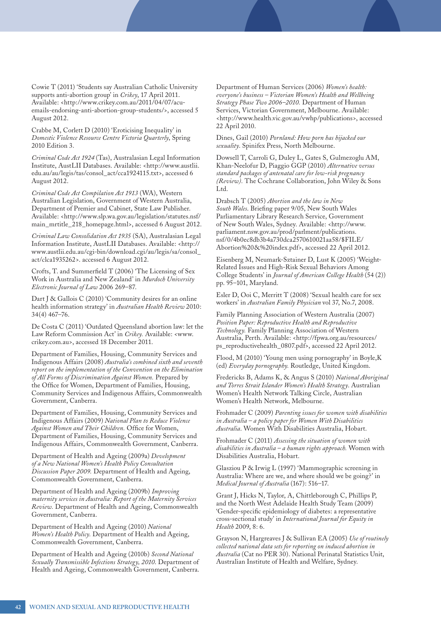Cowie T (2011) 'Students say Australian Catholic University supports anti-abortion group' in *Crikey*, 17 April 2011. Available: [<http://www.crikey.com.au/2011/04/07/acu](http://www.crikey.com.au/2011/04/07/acu-emails-endorsing-anti-abortion-group-students/)[emails-endorsing-anti-abortion-group-students/](http://www.crikey.com.au/2011/04/07/acu-emails-endorsing-anti-abortion-group-students/)>, accessed 5 August 2012.

Crabbe M, Corlett D (2010) 'Eroticising Inequality' in *Domestic Violence Resource Centre Victoria Quarterly*, Spring 2010 Edition 3.

*Criminal Code Act 1924* (Tas), Australasian Legal Information Institute, AustLII Databases. Available: <[http://www.austlii.](http://www.austlii.edu.au/au/legis/tas/consol_act/cca1924115.txt) [edu.au/au/legis/tas/consol\\_act/cca1924115.txt](http://www.austlii.edu.au/au/legis/tas/consol_act/cca1924115.txt)>, accessed 6 August 2012.

*Criminal Code Act Compilation Act 1913* (WA), Western Australian Legislation, Government of Western Australia, Department of Premier and Cabinet, State Law Publisher. Available: [<http://www.slp.wa.gov.au/legislation/statutes.nsf/](http://www.slp.wa.gov.au/legislation/statutes.nsf/main_mrtitle_218_homepage.html) [main\\_mrtitle\\_218\\_homepage.html>](http://www.slp.wa.gov.au/legislation/statutes.nsf/main_mrtitle_218_homepage.html), accessed 6 August 2012.

*Criminal Law Consolidation Act 1935* (SA), Australasian Legal Information Institute, AustLII Databases. Available: <[http://](http://www.austlii.edu.au/cgi-bin/download.cgi/au/legis/sa/consol_act/clca1935262) [www.austlii.edu.au/cgi-bin/download.cgi/au/legis/sa/consol\\_](http://www.austlii.edu.au/cgi-bin/download.cgi/au/legis/sa/consol_act/clca1935262) [act/clca1935262](http://www.austlii.edu.au/cgi-bin/download.cgi/au/legis/sa/consol_act/clca1935262)>. accessed 6 August 2012.

Crofts, T. and Summerfield T (2006) 'The Licensing of Sex Work in Australia and New Zealand' in *Murdoch University Electronic Journal of Law* 2006 269–87.

Dart J & Gallois C (2010) 'Community desires for an online health information strategy' in *Australian Health Review* 2010: 34(4) 467–76.

De Costa C (2011) 'Outdated Queensland abortion law: let the Law Reform Commission Act' in *Crikey.* Available: <[www.](http://www.crikey.com.au) [crikey.com.au](http://www.crikey.com.au)>, accessed 18 December 2011.

Department of Families, Housing, Community Services and Indigenous Affairs (2008) *Australia's combined sixth and seventh report on the implementation of the Convention on the Elimination of All Forms of Discrimination Against Women.* Prepared by the Office for Women, Department of Families, Housing, Community Services and Indigenous Affairs, Commonwealth Government, Canberra.

Department of Families, Housing, Community Services and Indigenous Affairs (2009) *National Plan to Reduce Violence Against Women and Their Children.* Office for Women, Department of Families, Housing, Community Services and Indigenous Affairs, Commonwealth Government, Canberra.

Department of Health and Ageing (2009a) *Development of a New National Women's Health Policy Consultation Discussion Paper 2009.* Department of Health and Ageing, Commonwealth Government, Canberra.

Department of Health and Ageing (2009b) *Improving maternity services in Australia: Report of the Maternity Services Review.* Department of Health and Ageing, Commonwealth Government, Canberra.

Department of Health and Ageing (2010) *National Women's Health Policy.* Department of Health and Ageing, Commonwealth Government, Canberra.

Department of Health and Ageing (2010b) *Second National Sexually Transmissible Infections Strategy, 2010*. Department of Health and Ageing, Commonwealth Government, Canberra.

Department of Human Services (2006) *Women's health: everyone's business – Victorian Women's Health and Wellbeing Strategy Phase Two 2006–2010.* Department of Human Services, Victorian Government, Melbourne. Available: <<http://www.health.vic.gov.au/vwhp/publications>>, accessed 22 April 2010.

Dines, Gail (2010) *Pornland: How porn has hijacked our sexuality*. Spinifex Press, North Melbourne.

Dowsell T, Carroli G, Duley L, Gates S, Gulmezoglu AM, Khan-Neelofur D, Piaggio GGP (2010) *Alternative versus standard packages of antenatal care for low-risk pregnancy (Review).* The Cochrane Collaboration, John Wiley & Sons Ltd.

Drabsch T (2005) *Abortion and the law in New South Wales*. Briefing paper 9/05, New South Wales Parliamentary Library Research Service, Government of New South Wales, Sydney. Available: [<http://www.](http://www.parliament.nsw.gov.au/prod/parlment/publications.nsf/0/4b0ec8db3b4a730dca2570610021aa58/$FILE/Abortion%20&%20index.pdf) [parliament.nsw.gov.au/prod/parlment/publications.](http://www.parliament.nsw.gov.au/prod/parlment/publications.nsf/0/4b0ec8db3b4a730dca2570610021aa58/$FILE/Abortion%20&%20index.pdf) [nsf/0/4b0ec8db3b4a730dca2570610021aa58/\\$FILE/](http://www.parliament.nsw.gov.au/prod/parlment/publications.nsf/0/4b0ec8db3b4a730dca2570610021aa58/$FILE/Abortion%20&%20index.pdf) [Abortion%20&%20index.pdf](http://www.parliament.nsw.gov.au/prod/parlment/publications.nsf/0/4b0ec8db3b4a730dca2570610021aa58/$FILE/Abortion%20&%20index.pdf)>, accessed 22 April 2012.

Eisenberg M, Neumark-Sztainer D, Lust K (2005) 'Weight-Related Issues and High-Risk Sexual Behaviors Among College Students' in *Journal of American College Health* (54 (2)) pp. 95–101, Maryland.

Esler D, Ooi C, Merritt T (2008) 'Sexual health care for sex workers' in *Australian Family Physician* vol 37, No.7, 2008.

Family Planning Association of Western Australia (2007) *Position Paper: Reproductive Health and Reproductive Technology.* Family Planning Association of Western Australia, Perth. Available: <http://fpwa.org.au/resources/ ps\_reproductivehealth\_0807.pdf>, accessed 22 April 2012.

Flood, M (2010) 'Young men using pornography' in Boyle,K (ed) *Everyday pornography.* Routledge, United Kingdom.

Fredericks B, Adams K, & Angus S (2010) *National Aboriginal and Torres Strait Islander Women's Health Strategy*. Australian Women's Health Network Talking Circle, Australian Women's Health Network, Melbourne.

Frohmader C (2009) *Parenting issues for women with disabilities in Australia – a policy paper for Women With Disabilities Australia*. Women With Disabilities Australia, Hobart.

Frohmader C (2011) *Assessing the situation of women with disabilities in Australia – a human rights approach.* Women with Disabilities Australia, Hobart.

Glasziou P & Irwig L (1997) 'Mammographic screening in Australia: Where are we, and where should we be going?' in *Medical Journal of Australia* (167): 516–17.

Grant J, Hicks N, Taylor, A, Chittleborough C, Phillips P, and the North West Adelaide Health Study Team (2009) 'Gender-specific epidemiology of diabetes: a representative cross-sectional study' in *International Journal for Equity in Health* 2009, 8: 6.

Grayson N, Hargreaves J & Sullivan EA (2005) *Use of routinely collected national data sets for reporting on induced abortion in Australia* (Cat no PER 30). National Perinatal Statistics Unit, Australian Institute of Health and Welfare, Sydney.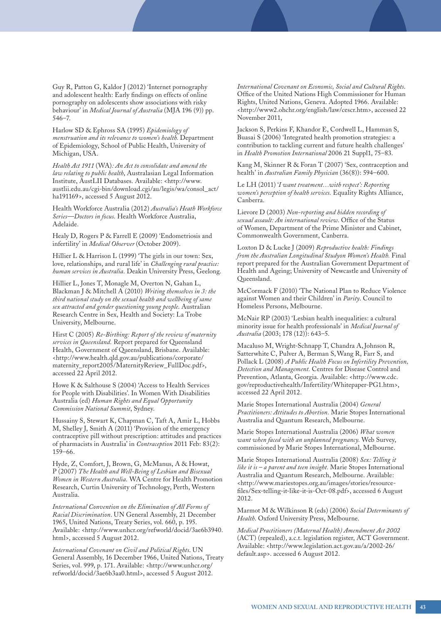Guy R, Patton G, Kaldor J (2012) 'Internet pornography and adolescent health: Early findings on effects of online pornography on adolescents show associations with risky behaviour' in *Medical Journal of Australia* (MJA 196 (9)) pp. 546–7.

Harlow SD & Ephross SA (1995) *Epidemiology of menstruation and its relevance to women's health.* Department of Epidemiology, School of Public Health, University of Michigan, USA.

*Health Act 1911* (WA)*: An Act to consolidate and amend the law relating to public health*, Australasian Legal Information Institute, AustLII Databases. Available: <[http://www.](http://www.austlii.edu.au/cgi-bin/download.cgi/au/legis/wa/consol_act/ha191169) [austlii.edu.au/cgi-bin/download.cgi/au/legis/wa/consol\\_act/](http://www.austlii.edu.au/cgi-bin/download.cgi/au/legis/wa/consol_act/ha191169) [ha191169](http://www.austlii.edu.au/cgi-bin/download.cgi/au/legis/wa/consol_act/ha191169)>, accessed 5 August 2012.

Health Workforce Australia (2012) *Australia's Heath Workforce Series—Doctors in focus.* Health Workforce Australia, Adelaide.

Healy D, Rogers P & Farrell E (2009) 'Endometriosis and infertility' in *Medical Observer* (October 2009).

Hillier L & Harrison L (1999) 'The girls in our town: Sex, love, relationships, and rural life' in *Challenging rural practice: human services in Australia*. Deakin University Press, Geelong.

Hillier L, Jones T, Monagle M, Overton N, Gahan L, Blackman J & Mitchell A (2010) *Writing themselves in 3: the third national study on the sexual health and wellbeing of same sex attracted and gender questioning young people*. Australian Research Centre in Sex, Health and Society: La Trobe University, Melbourne.

Hirst C (2005) *Re-Birthing: Report of the review of maternity services in Queensland.* Report prepared for Queensland Health, Government of Queensland, Brisbane. Available: [<http://www.health.qld.gov.au/publications/corporate/](http://www.health.qld.gov.au/publications/corporate/maternity_report2005/MaternityReview_FullDoc.pdf) [maternity\\_report2005/MaternityReview\\_FullDoc.pdf](http://www.health.qld.gov.au/publications/corporate/maternity_report2005/MaternityReview_FullDoc.pdf)>, accessed 22 April 2012.

Howe K & Salthouse S (2004) 'Access to Health Services for People with Disabilities'. In Women With Disabilities Australia (ed) *Human Rights and Equal Opportunity Commission National Summit*, Sydney.

Hussainy S, Stewart K, Chapman C, Taft A, Amir L, Hobbs M, Shelley J, Smith A (2011) 'Provision of the emergency contraceptive pill without prescription: attitudes and practices of pharmacists in Australia' in *Contraception* 2011 Feb: 83(2):  $159 - 66$ .

Hyde, Z, Comfort, J, Brown, G, McManus, A & Howat, P (2007) *The Health and Well-Being of Lesbian and Bisexual Women in Western Australia.* WA Centre for Health Promotion Research, Curtin University of Technology, Perth, Western Australia.

*International Convention on the Elimination of All Forms of Racial Discrimination*. UN General Assembly, 21 December 1965, United Nations, Treaty Series, vol. 660, p. 195. Available: <[http://www.unhcr.org/refworld/docid/3ae6b3940.](http://www.unhcr.org/refworld/docid/3ae6b3940.html) [html>](http://www.unhcr.org/refworld/docid/3ae6b3940.html), accessed 5 August 2012.

*International Covenant on Civil and Political Rights*. UN General Assembly, 16 December 1966, United Nations, Treaty Series, vol. 999, p. 171. Available: <[http://www.unhcr.org/](http://www.unhcr.org/refworld/docid/3ae6b3aa0.html) [refworld/docid/3ae6b3aa0.html>](http://www.unhcr.org/refworld/docid/3ae6b3aa0.html), accessed 5 August 2012.

*International Covenant on Economic, Social and Cultural Rights*. Office of the United Nations High Commissioner for Human Rights, United Nations, Geneva. Adopted 1966. Available: <[http://www2.ohchr.org/english/law/cescr.htm>](http://www2.ohchr.org/english/law/cescr.htm), accessed 22 November 2011,

Jackson S, Perkins F, Khandor E, Cordwell L, Hamman S, Buasai S (2006) 'Integrated health promotion strategies: a contribution to tackling current and future health challenges' in *Health Promotion International* 2006 21 Suppl1, 75–83.

Kang M, Skinner R & Foran T (2007) 'Sex, contraception and health' in *Australian Family Physician* (36(8)): 594–600.

Le LH (2011) '*I want treatment…with respect': Reporting women's perception of health services.* Equality Rights Alliance, Canberra.

Lievore D (2003) *Non-reporting and hidden recording of sexual assault: An international review*. Office of the Status of Women, Department of the Prime Minister and Cabinet, Commonwealth Government, Canberra.

Loxton D & Lucke J (2009) *Reproductive health: Findings from the Australian Longitudinal Studyon Women's Health.* Final report prepared for the Australian Government Department of Health and Ageing; University of Newcastle and University of Queensland.

McCormack F (2010) 'The National Plan to Reduce Violence against Women and their Children' in *Parity*. Council to Homeless Persons, Melbourne.

McNair RP (2003) 'Lesbian health inequalities: a cultural minority issue for health professionals' in *Medical Journal of Australia* (2003; 178 (12)): 643–5.

Macaluso M, Wright-Schnapp T, Chandra A,Johnson R, Satterwhite C, Pulver A, Berman S,Wang R, Farr S, and Pollack L (2008) *A Public Health Focus on Infertility Prevention, Detection and Management.* Centres for Disease Control and Prevention, Atlanta, Georgia. Available: [<http://www.cdc.](http://www.cdc.gov/reproductivehealth/Infertility/Whitepaper-PG1.htm) [gov/reproductivehealth/Infertility/Whitepaper-PG1.htm>](http://www.cdc.gov/reproductivehealth/Infertility/Whitepaper-PG1.htm), accessed 22 April 2012.

Marie Stopes International Australia (2004) *General Practitioners: Attitudes to Abortion.* Marie Stopes International Australia and Quantum Research, Melbourne.

Marie Stopes International Australia (2006) *What women want when faced with an unplanned pregnancy.* Web Survey, commissioned by Marie Stopes International, Melbourne.

Marie Stopes International Australia (2008) *Sex: Telling it like it is – a parent and teen insight.* Marie Stopes International Australia and Quantum Research, Melbourne. Available: <[http://www.mariestopes.org.au/images/stories/resource](http://www.mariestopes.org.au/images/stories/resource-files/Sex-telling-it-like-it-is-Oct-08.pdf)[files/Sex-telling-it-like-it-is-Oct-08.pdf>](http://www.mariestopes.org.au/images/stories/resource-files/Sex-telling-it-like-it-is-Oct-08.pdf), accessed 6 August 2012.

Marmot M & Wilkinson R (eds) (2006) *Social Determinants of Health*. Oxford University Press, Melbourne.

*Medical Practitioners (Maternal Health) Amendment Act 2002*  (ACT) (repealed), a.c.t. legislation register, ACT Government. Available: [<http://www.legislation.act.gov.au/a/2002-26/](http://www.legislation.act.gov.au/a/2002-26/default.asp) [default.asp](http://www.legislation.act.gov.au/a/2002-26/default.asp)>. accessed 6 August 2012.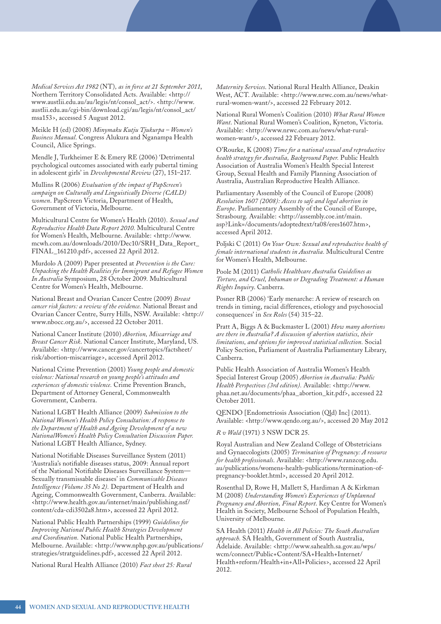*Medical Services Act 1982* (NT)*, as in force at 21 September 2011*, Northern Territory Consolidated Acts. Available: <[http://](http://www.austlii.edu.au/au/legis/nt/consol_act/) [www.austlii.edu.au/au/legis/nt/consol\\_act/>](http://www.austlii.edu.au/au/legis/nt/consol_act/). [<http://www.](http://www.austlii.edu.au/cgi-bin/download.cgi/au/legis/nt/consol_act/msa153) [austlii.edu.au/cgi-bin/download.cgi/au/legis/nt/consol\\_act/](http://www.austlii.edu.au/cgi-bin/download.cgi/au/legis/nt/consol_act/msa153) [msa153>](http://www.austlii.edu.au/cgi-bin/download.cgi/au/legis/nt/consol_act/msa153), accessed 5 August 2012.

Meikle H (ed) (2008) *Minymaku Kutju Tjukurpa – Women's Business Manual*. Congress Alukura and Nganampa Health Council, Alice Springs.

Mendle J, Turkheimer E & Emery RE (2006) 'Detrimental psychological outcomes associated with early pubertal timing in adolescent girls' in *Developmental Review* (27), 151–217.

Mullins R (2006) *Evaluation of the impact of PapScreen's campaign on Culturally and Linguistically Diverse (CALD) women*. PapScreen Victoria, Department of Health, Government of Victoria, Melbourne.

Multicultural Centre for Women's Health (2010). *Sexual and Reproductive Health Data Report 2010.* Multicultural Centre for Women's Health, Melbourne. Available: <[http://www.](http://www.mcwh.com.au/downloads/2010/Dec10/SRH_Data_Report_FINAL_161210.pdf) [mcwh.com.au/downloads/2010/Dec10/SRH\\_Data\\_Report\\_](http://www.mcwh.com.au/downloads/2010/Dec10/SRH_Data_Report_FINAL_161210.pdf) [FINAL\\_161210.pdf](http://www.mcwh.com.au/downloads/2010/Dec10/SRH_Data_Report_FINAL_161210.pdf)>, accessed 22 April 2012.

Murdolo A (2009) Paper presented at *Prevention is the Cure: Unpacking the Health Realities for Immigrant and Refugee Women In Australia* Symposium, 28 October 2009. Multicultural Centre for Women's Health, Melbourne.

National Breast and Ovarian Cancer Centre (2009) *Breast cancer risk factors: a review of the evidence.* National Breast and Ovarian Cancer Centre, Surry Hills, NSW. Available: <[http://](http://www.nbocc.org.au/) [www.nbocc.org.au/>](http://www.nbocc.org.au/), accessed 22 October 2011.

National Cancer Institute (2010) *Abortion, Miscarriage and Breast Cancer Risk*. National Cancer Institute, Maryland, US. Available: [<http://www.cancer.gov/cancertopics/factsheet/](http://www.cancer.gov/cancertopics/factsheet/risk/abortion-miscarriage) [risk/abortion-miscarriage](http://www.cancer.gov/cancertopics/factsheet/risk/abortion-miscarriage)>, accessed April 2012.

National Crime Prevention (2001) *Young people and domestic violence: National research on young people's attitudes and experiences of domestic violence.* Crime Prevention Branch, Department of Attorney General, Commonwealth Government, Canberra.

National LGBT Health Alliance (2009) *Submission to the National Women's Health Policy Consultation: A response to the Department of Health and Ageing Development of a new NationalWomen's Health Policy Consultation Discussion Paper.*  National LGBT Health Alliance, Sydney.

National Notifiable Diseases Surveillance System (2011) 'Australia's notifiable diseases status, 2009: Annual report of the National Notifiable Diseases Surveillance System— Sexually transmissable diseases' in *Communicable Diseases Intelligence (Volume 35 No 2).* Department of Health and Ageing, Commonwealth Government, Canberra. Available: [<http://www.health.gov.au/internet/main/publishing.nsf/](http://www.health.gov.au/internet/main/publishing.nsf/content/cda-cdi3502a8.htm) [content/cda-cdi3502a8.htm](http://www.health.gov.au/internet/main/publishing.nsf/content/cda-cdi3502a8.htm)>, accessed 22 April 2012.

National Public Health Partnerships (1999) *Guidelines for Improving National Public Health Strategies Development and Coordination.* National Public Health Partnerships, Melbourne. Available: [<http://www.nphp.gov.au/publications/](http://www.nphp.gov.au/publications/strategies/stratguidelines.pdf) [strategies/stratguidelines.pdf>](http://www.nphp.gov.au/publications/strategies/stratguidelines.pdf), accessed 22 April 2012.

National Rural Health Alliance (2010) *Fact sheet 25: Rural* 

*Maternity Services*. National Rural Health Alliance, Deakin West, ACT. Available: [<http://www.nrwc.com.au/news/what](http://www.nrwc.com.au/news/what-rural-women-want/)[rural-women-want/>](http://www.nrwc.com.au/news/what-rural-women-want/), accessed 22 February 2012.

National Rural Women's Coalition (2010) *What Rural Women Want*. National Rural Women's Coalition, Kyneton, Victoria. Available: <[http://www.nrwc.com.au/news/what-rural](http://www.nrwc.com.au/news/what-rural-women-want/)[women-want/](http://www.nrwc.com.au/news/what-rural-women-want/)>, accessed 22 February 2012.

O'Rourke, K (2008) *Time for a national sexual and reproductive health strategy for Australia, Background Paper.* Public Health Association of Australia Women's Health Special Interest Group, Sexual Health and Family Planning Association of Australia, Australian Reproductive Health Alliance.

Parliamentary Assembly of the Council of Europe (2008) *Resolution 1607 (2008): Access to safe and legal abortion in Europe*. Parliamentary Assembly of the Council of Europe, Strasbourg. Available: <http://assembly.coe.int/main. asp?Link=/documents/adoptedtext/ta08/eres1607.htm>, accessed April 2012.

Poljski C (2011) *On Your Own: Sexual and reproductive health of female international students in Australia.* Multicultural Centre for Women's Health, Melbourne.

Poole M (2011) *Catholic Healthcare Australia Guidelines as Torture, and Cruel, Inhuman or Degrading Treatment: a Human Rights Inquiry*. Canberra.

Posner RB (2006) 'Early menarche: A review of research on trends in timing, racial differences, etiology and psychosocial consequences' in *Sex Roles* (54) 315–22.

Pratt A, Biggs A & Buckmaster L (2001) *How many abortions are there in Australia? A discussion of abortion statistics, their limitations, and options for improved statistical collection.* Social Policy Section, Parliament of Australia Parliamentary Library, Canberra.

Public Health Association of Australia Women's Health Special Interest Group (2005) *Abortion in Australia: Public Health Perspectives (3rd edition).* Available: <[http://www.](http://www.phaa.net.au/documents/phaa_abortion_kit.pdf) [phaa.net.au/documents/phaa\\_abortion\\_kit.pdf](http://www.phaa.net.au/documents/phaa_abortion_kit.pdf)>, accessed 22 October 2011.

QENDO [Endometriosis Association (Qld) Inc] (2011). Available: <<http://www.qendo.org.au/>>, accessed 20 May 2012

*R v Wald* (1971) 3 NSW DCR 25.

Royal Australian and New Zealand College of Obstetricians and Gynaecologists (2005) *Termination of Pregnancy: A resource for health professionals*. Available: [<http://www.ranzcog.edu.](http://www.ranzcog.edu.au/publications/womens-health-publications/termination-of-pregnancy-booklet.html) [au/publications/womens-health-publications/termination-of](http://www.ranzcog.edu.au/publications/womens-health-publications/termination-of-pregnancy-booklet.html)[pregnancy-booklet.html](http://www.ranzcog.edu.au/publications/womens-health-publications/termination-of-pregnancy-booklet.html)>, accessed 20 April 2012.

Rosenthal D, Rowe H, Mallett S, Hardiman A & Kirkman M (2008) *Understanding Women's Experiences of Unplanned Pregnancy and Abortion, Final Report*. Key Centre for Women's Health in Society, Melbourne School of Population Health, University of Melbourne.

SA Health (2011) *Health in All Policies: The South Australian approach*. SA Health, Government of South Australia, Adelaide. Available: <[http://www.sahealth.sa.gov.au/wps/](http://www.sahealth.sa.gov.au/wps/wcm/connect/Public+Content/SA+Health+Internet/Health+reform/Health+in+All+Policies) [wcm/connect/Public+Content/SA+Health+Internet/](http://www.sahealth.sa.gov.au/wps/wcm/connect/Public+Content/SA+Health+Internet/Health+reform/Health+in+All+Policies) [Health+reform/Health+in+All+Policies](http://www.sahealth.sa.gov.au/wps/wcm/connect/Public+Content/SA+Health+Internet/Health+reform/Health+in+All+Policies)>, accessed 22 April 2012.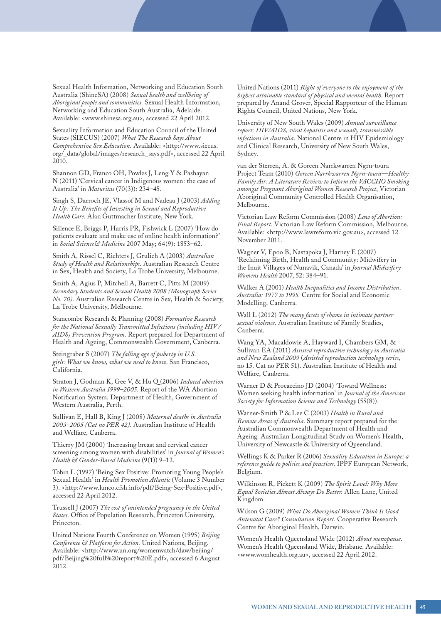Sexual Health Information, Networking and Education South Australia (ShineSA) (2008) *Sexual health and wellbeing of Aboriginal people and communities.* Sexual Health Information, Networking and Education South Australia, Adelaide. Available: <[www.shinesa.org.au](http://www.shinesa.org.au)>, accessed 22 April 2012.

Sexuality Information and Education Council of the United States (SIECUS) (2007) *What The Research Says About Comprehensive Sex Education.* Available: [<http://www.siecus.](http://www.siecus.org/_data/global/images/research_says.pdf) [org/\\_data/global/images/research\\_says.pdf](http://www.siecus.org/_data/global/images/research_says.pdf)>, accessed 22 April 2010.

Shannon GD, Franco OH, Powles J, Leng Y & Pashayan N (2011) 'Cervical cancer in Indigenous women: the case of Australia' in *Maturitas* (70(3)): 234–45.

Singh S, Darroch JE, Vlassof M and Nadeau J (2003) *Adding It Up: The Benefits of Investing in Sexual and Reproductive Health Care.* Alan Guttmacher Institute, New York.

Sillence E, Briggs P, Harris PR, Fishwick L (2007) 'How do patients evaluate and make use of online health information?' in *Social Science& Medicine* 2007 May; 64(9): 1853–62.

Smith A, Rissel C, Richters J, Grulich A (2003) *Australian Study of Health and Relationships*. Australian Research Centre in Sex, Health and Society, La Trobe University, Melbourne.

Smith A, Agius P, Mitchell A, Barrett C, Pitts M (2009) *Secondary Students and Sexual Health 2008 (Monograph Series No. 70).* Australian Research Centre in Sex, Health & Society, La Trobe University, Melbourne.

Stancombe Research & Planning (2008) *Formative Research for the National Sexually Transmitted Infections (including HIV / AIDS) Prevention Program.* Report prepared for Department of Health and Ageing, Commonwealth Government, Canberra.

Steingraber S (2007) *The falling age of puberty in U.S. girls: What we know, what we need to know*. San Francisco, California.

Straton J, Godman K, Gee V, & Hu Q (2006) *Induced abortion in Western Australia 1999–2005*. Report of the WA Abortion Notification System. Department of Health, Government of Western Australia, Perth.

Sullivan E, Hall B, King J (2008) *Maternal deaths in Australia 2003–2005 (Cat no PER 42).* Australian Institute of Health and Welfare, Canberra.

Thierry JM (2000) 'Increasing breast and cervical cancer screening among women with disabilities' in *Journal of Women's Health & Gender-Based Medicine* (9(1)) 9–12.

Tobin L (1997) 'Being Sex Positive: Promoting Young People's Sexual Health' in *Health Promotion Atlantic* (Volume 3 Number 3). <<http://www.lunco.cfsh.info/pdf/Being-Sex-Positive.pdf>>, accessed 22 April 2012.

Trussell J (2007) *The cost of unintended pregnancy in the United States.* Office of Population Research, Princeton University, Princeton.

United Nations Fourth Conference on Women (1995) *Beijing Conference & Platform for Action.* United Nations, Beijing. Available: <[http://www.un.org/womenwatch/daw/beijing/](http://www.un.org/womenwatch/daw/beijing/pdf/Beijing%20full%20report%20E.pdf) [pdf/Beijing%20full%20report%20E.pdf>](http://www.un.org/womenwatch/daw/beijing/pdf/Beijing%20full%20report%20E.pdf), accessed 6 August 2012.

United Nations (2011) *Right of everyone to the enjoyment of the highest attainable standard of physical and mental health*. Report prepared by Anand Grover, Special Rapporteur of the Human Rights Council, United Nations, New York.

University of New South Wales (2009) *Annual surveillance report: HIV/AIDS, viral hepatitis and sexually transmissible infections in Australia.* National Centre in HIV Epidemiology and Clinical Research, University of New South Wales, Sydney.

van der Sterren, A. & Goreen Narrkwarren Ngrn-toura Project Team (2010) *Goreen Narrkwarren Ngrn-toura—Healthy Family Air: A Literature Review to Inform the VACCHO Smoking amongst Pregnant Aboriginal Women Research Project*, Victorian Aboriginal Community Controlled Health Organisation, Melbourne.

Victorian Law Reform Commission (2008) *Law of Abortion: Final Report.* Victorian Law Reform Commission, Melbourne. Available: [<http://www.lawreform.vic.gov.au>](http://www.lawreform.vic.gov.au), accessed 12 November 2011.

Wagner V, Epoo B, Nastapoka J, Harney E (2007) 'Reclaiming Birth, Health and Community: Midwifery in the Inuit Villages of Nunavik, Canada' in *Journal Midwifery Womens Health* 2007, 52: 384–91.

Walker A (2001) *Health Inequalities and Income Distribution, Australia: 1977 to 1995.* Centre for Social and Economic Modelling, Canberra.

Wall L (2012) *The many facets of shame in intimate partner sexual violence*. Australian Institute of Family Studies, Canberra.

Wang YA, Macaldowie A, Hayward I, Chambers GM, & Sullivan EA (2011) *Assisted reproductive technology in Australia and New Zealand 2009* (*Assisted reproduction technology series,*  no 15. Cat no PER 51). Australian Institute of Health and Welfare, Canberra.

Warner D & Procaccino JD (2004) 'Toward Wellness: Women seeking health information' in *Journal of the American Society for Information Science and Technology* (55(8)).

Warner-Smith P & Lee C (2003) *Health in Rural and Remote Areas of Australia.* Summary report prepared for the Australian Commonwealth Department of Health and Ageing. Australian Longitudinal Study on Women's Health, University of Newcastle & University of Queensland.

Wellings K & Parker R (2006) *Sexuality Education in Europe: a reference guide to policies and practices.* IPPF European Network, Belgium.

Wilkinson R, Pickett K (2009) *The Spirit Level: Why More Equal Societies Almost Always Do Better.* Allen Lane, United Kingdom.

Wilson G (2009) *What Do Aboriginal Women Think Is Good Antenatal Care? Consultation Report*. Cooperative Research Centre for Aboriginal Health, Darwin.

Women's Health Queensland Wide (2012) *About menopause*. Women's Health Queensland Wide, Brisbane. Available: <[www.womhealth.org.au>](http://www.womhealth.org.au), accessed 22 April 2012.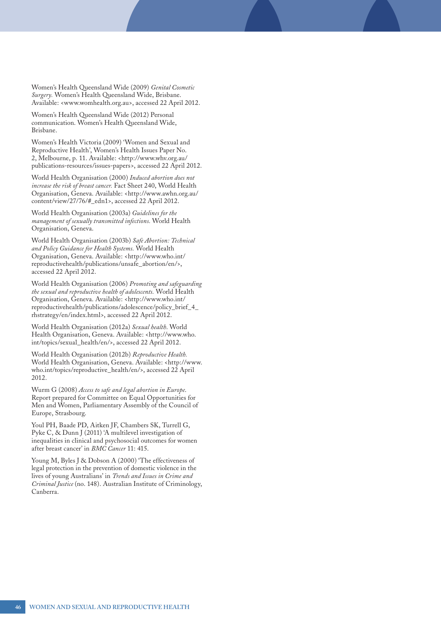Women's Health Queensland Wide (2009) *Genital Cosmetic Surgery.* Women's Health Queensland Wide, Brisbane. Available: [<www.womhealth.org.au](http://www.womhealth.org.au)>, accessed 22 April 2012.

Women's Health Queensland Wide (2012) Personal communication. Women's Health Queensland Wide, Brisbane.

Women's Health Victoria (2009) 'Women and Sexual and Reproductive Health', Women's Health Issues Paper No. 2, Melbourne, p. 11. Available: <[http://www.whv.org.au/](http://www.whv.org.au/publications-resources/issues-papers) [publications-resources/issues-papers](http://www.whv.org.au/publications-resources/issues-papers)>, accessed 22 April 2012.

World Health Organisation (2000) *Induced abortion does not increase the risk of breast cancer.* Fact Sheet 240, World Health Organisation, Geneva. Available: <[http://www.awhn.org.au/](http://www.awhn.org.au/content/view/27/76/#_edn1) [content/view/27/76/#\\_edn1>](http://www.awhn.org.au/content/view/27/76/#_edn1), accessed 22 April 2012.

World Health Organisation (2003a) *Guidelines for the management of sexually transmitted infections.* World Health Organisation, Geneva.

World Health Organisation (2003b) *Safe Abortion: Technical and Policy Guidance for Health Systems.* World Health Organisation, Geneva. Available: <[http://www.who.int/](http://www.who.int/reproductivehealth/publications/unsafe_abortion/en/) [reproductivehealth/publications/unsafe\\_abortion/en/](http://www.who.int/reproductivehealth/publications/unsafe_abortion/en/)>, accessed 22 April 2012.

World Health Organisation (2006) *Promoting and safeguarding the sexual and reproductive health of adolescents.* World Health Organisation, Geneva. Available: <[http://www.who.int/](http://www.who.int/reproductivehealth/publications/adolescence/policy_brief_4_rhstrategy/en/index.html) [reproductivehealth/publications/adolescence/policy\\_brief\\_4\\_](http://www.who.int/reproductivehealth/publications/adolescence/policy_brief_4_rhstrategy/en/index.html) [rhstrategy/en/index.html>](http://www.who.int/reproductivehealth/publications/adolescence/policy_brief_4_rhstrategy/en/index.html), accessed 22 April 2012.

World Health Organisation (2012a) *Sexual health*. World Health Organisation, Geneva. Available: <[http://www.who.](http://www.who.int/topics/sexual_health/en/) [int/topics/sexual\\_health/en/](http://www.who.int/topics/sexual_health/en/)>, accessed 22 April 2012.

World Health Organisation (2012b) *Reproductive Health.* World Health Organisation, Geneva. Available: <[http://www.](http://www.who.int/topics/reproductive_health/en/) [who.int/topics/reproductive\\_health/en/](http://www.who.int/topics/reproductive_health/en/)>, accessed 22 April 2012.

Wurm G (2008) *Access to safe and legal abortion in Europe*. Report prepared for Committee on Equal Opportunities for Men and Women, Parliamentary Assembly of the Council of Europe, Strasbourg.

Youl PH, Baade PD, Aitken JF, Chambers SK, Turrell G, Pyke C, & Dunn J (2011) 'A multilevel investigation of inequalities in clinical and psychosocial outcomes for women after breast cancer' in *BMC Cancer* 11: 415.

Young M, Byles J & Dobson A (2000) 'The effectiveness of legal protection in the prevention of domestic violence in the lives of young Australians' in *Trends and Issues in Crime and Criminal Justice* (no. 148). Australian Institute of Criminology, Canberra.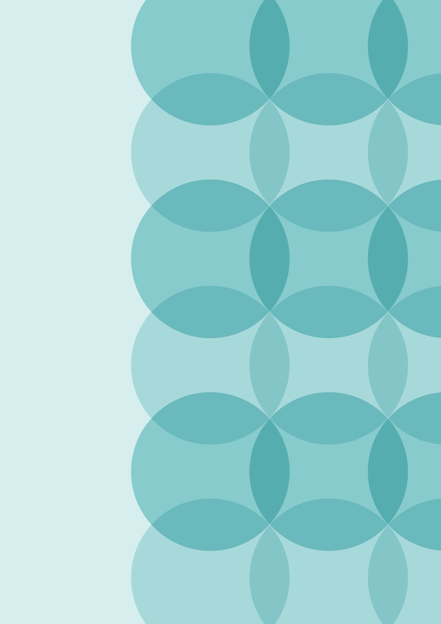